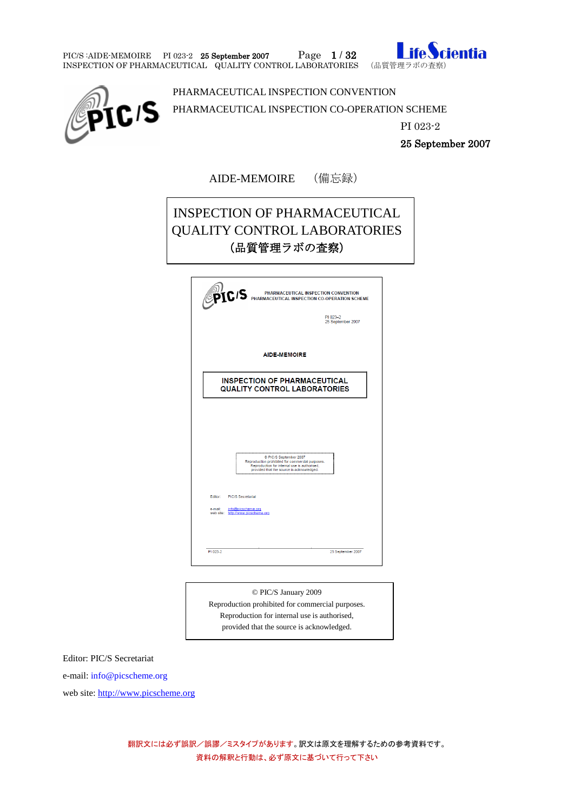PIC/S:AIDE-MEMOIRE PI 023-2 25 September 2007 Page 1 / 32 Inspection of Pharmaceutical Quality control laboratories (品質管理ラボの査察)





PHARMACEUTICAL INSPECTION CONVENTION

PHARMACEUTICAL INSPECTION CO-OPERATION SCHEME

PI 023-2

25 September 2007

AIDE-MEMOIRE (備忘録)

# INSPECTION OF PHARMACEUTICAL QUALITY CONTROL LABORATORIES (品質管理ラボの査察)

|         | PI 023-2<br>25 September 2007                                                                                                                                           |
|---------|-------------------------------------------------------------------------------------------------------------------------------------------------------------------------|
|         | <b>AIDE-MEMOIRE</b>                                                                                                                                                     |
|         |                                                                                                                                                                         |
|         | <b>INSPECTION OF PHARMACEUTICAL</b><br><b>QUALITY CONTROL LABORATORIES</b>                                                                                              |
|         |                                                                                                                                                                         |
|         |                                                                                                                                                                         |
|         |                                                                                                                                                                         |
|         |                                                                                                                                                                         |
|         | C PIC/S September 2007<br>Reproduction prohibited for commercial purposes.<br>Reproduction for internal use is authorised.<br>provided that the source is acknowledged. |
|         |                                                                                                                                                                         |
| e-mail: | Editor: PIC/S Secretariat<br>info@picscheme.org<br>web site: http://www.picscheme.org                                                                                   |

© PIC/S January 2009 Reproduction prohibited for commercial purposes. Reproduction for internal use is authorised, provided that the source is acknowledged.

Editor: PIC/S Secretariat

e-mail: info@picscheme.org

web site[: http://www.picscheme.org](http://www.picscheme.org/)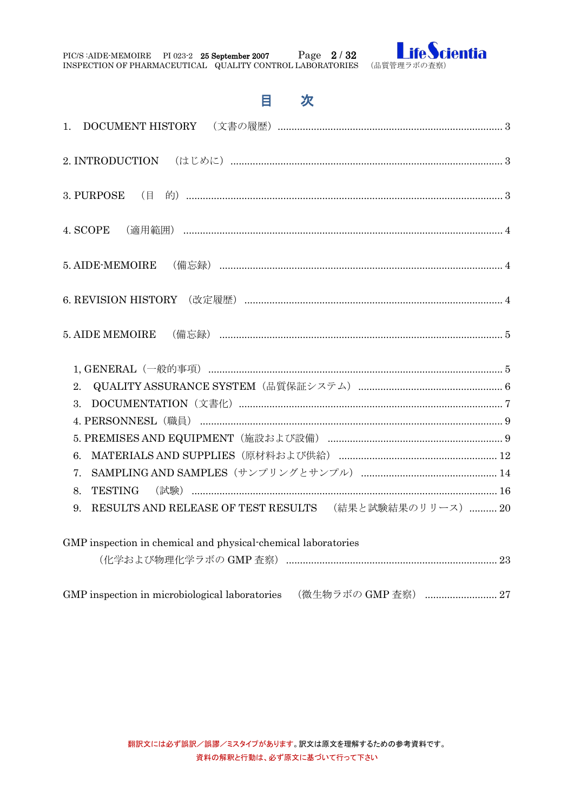| PIC/S:AIDE-MEMOIRE                                        | PI 023-2 25 September 2007 | Page $2/32$ |  |
|-----------------------------------------------------------|----------------------------|-------------|--|
| INSPECTION OF PHARMACEUTICAL QUALITY CONTROL LABORATORIES |                            |             |  |



# 目次

| 4. SCOPE                                                      |  |
|---------------------------------------------------------------|--|
|                                                               |  |
|                                                               |  |
|                                                               |  |
|                                                               |  |
| 2.                                                            |  |
| 3.                                                            |  |
|                                                               |  |
|                                                               |  |
| 6.                                                            |  |
| 7.                                                            |  |
| <b>TESTING</b><br>8.                                          |  |
| RESULTS AND RELEASE OF TEST RESULTS (結果と試験結果のリリース)  20<br>9.  |  |
| GMP inspection in chemical and physical chemical laboratories |  |
|                                                               |  |

GMP inspection in microbiological laboratories (微生物ラボの GMP 査察) ............................ 27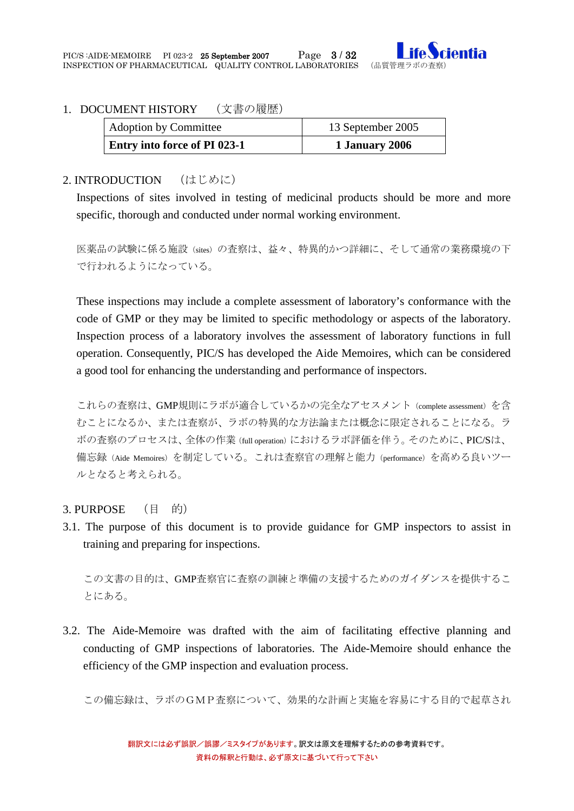

### <span id="page-2-0"></span>1. DOCUMENT HISTORY (文書の履歴)

| <b>Adoption by Committee</b> | 13 September 2005 |
|------------------------------|-------------------|
| Entry into force of PI 023-1 | 1 January 2006    |

## <span id="page-2-1"></span>2. INTRODUCTION (はじめに)

Inspections of sites involved in testing of medicinal products should be more and more specific, thorough and conducted under normal working environment.

医薬品の試験に係る施設(sites)の査察は、益々、特異的かつ詳細に、そして通常の業務環境の下 で行われるようになっている。

These inspections may include a complete assessment of laboratory's conformance with the code of GMP or they may be limited to specific methodology or aspects of the laboratory. Inspection process of a laboratory involves the assessment of laboratory functions in full operation. Consequently, PIC/S has developed the Aide Memoires, which can be considered a good tool for enhancing the understanding and performance of inspectors.

これらの査察は、GMP規則にラボが適合しているかの完全なアセスメント (complete assessment)を含 むことになるか、または査察が、ラボの特異的な方法論または概念に限定されることになる。ラ ボの査察のプロセスは、全体の作業(full operation)におけるラボ評価を伴う。そのために、PIC/Sは、 備忘録(Aide Memoires)を制定している。これは査察官の理解と能力(performance)を高める良いツー ルとなると考えられる。

#### <span id="page-2-2"></span>3. PURPOSE (目 的)

3.1. The purpose of this document is to provide guidance for GMP inspectors to assist in training and preparing for inspections.

この文書の目的は、GMP査察官に査察の訓練と準備の支援するためのガイダンスを提供するこ とにある。

3.2. The Aide-Memoire was drafted with the aim of facilitating effective planning and conducting of GMP inspections of laboratories. The Aide-Memoire should enhance the efficiency of the GMP inspection and evaluation process.

この備忘録は、ラボのGMP査察について、効果的な計画と実施を容易にする目的で起草され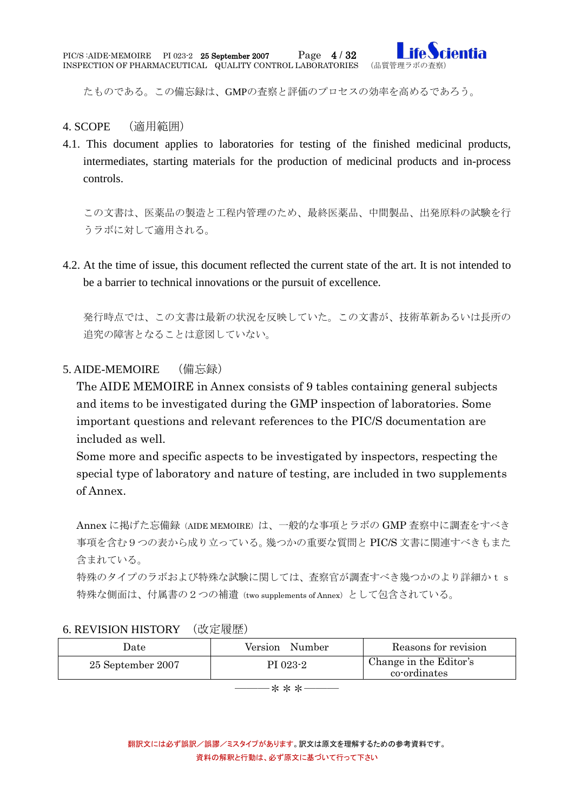

たものである。この備忘録は、GMPの査察と評価のプロセスの効率を高めるであろう。

- <span id="page-3-0"></span>4. SCOPE (適用範囲)
- 4.1. This document applies to laboratories for testing of the finished medicinal products, intermediates, starting materials for the production of medicinal products and in-process controls.

この文書は、医薬品の製造と工程内管理のため、最終医薬品、中間製品、出発原料の試験を行 うラボに対して適用される。

4.2. At the time of issue, this document reflected the current state of the art. It is not intended to be a barrier to technical innovations or the pursuit of excellence.

発行時点では、この文書は最新の状況を反映していた。この文書が、技術革新あるいは長所の 追究の障害となることは意図していない。

## <span id="page-3-1"></span>5. AIDE-MEMOIRE (備忘録)

The AIDE MEMOIRE in Annex consists of 9 tables containing general subjects and items to be investigated during the GMP inspection of laboratories. Some important questions and relevant references to the PIC/S documentation are included as well.

Some more and specific aspects to be investigated by inspectors, respecting the special type of laboratory and nature of testing, are included in two supplements of Annex.

Annex に掲げた忘備録(AIDE MEMOIRE)は、一般的な事項とラボの GMP 査察中に調査をすべき 事項を含む9つの表から成り立っている。幾つかの重要な質問と PIC/S 文書に関連すべきもまた 含まれている。

特殊のタイプのラボおよび特殊な試験に関しては、査察官が調査すべき幾つかのより詳細かts 特殊な側面は、付属書の2つの補遺(two supplements of Annex)として包含されている。

#### <span id="page-3-2"></span>6. REVISION HISTORY (改定履歴)

| Date              | Version<br>Number | Reasons for revision                   |
|-------------------|-------------------|----------------------------------------|
| 25 September 2007 | PI 023-2          | Change in the Editor's<br>co-ordinates |

―――\*\*\*―――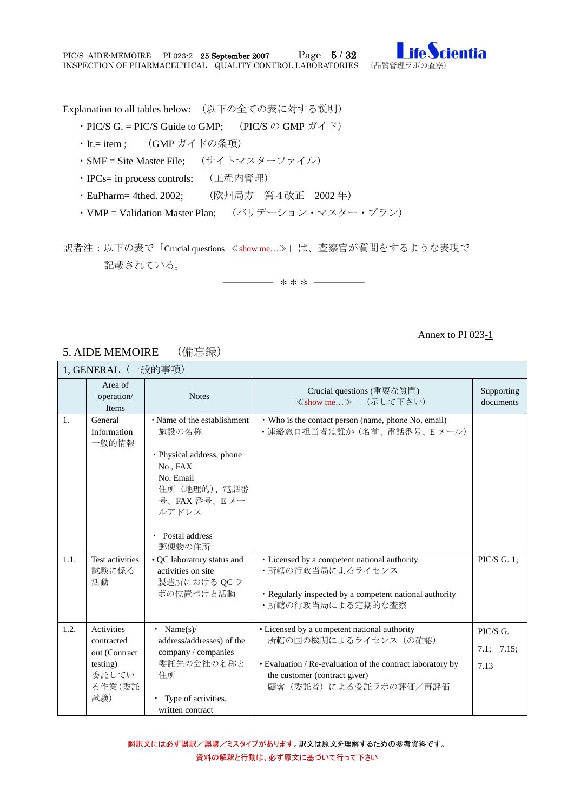

Explanation to all tables below: (以下の全ての表に対する説明)

- PIC/S G. = PIC/S Guide to GMP; (PIC/S  $\oslash$  GMP  $\cancel{\pi}$  \f \ff \cdots \cdots \cdots \cdots \cdots \cdots \cdots \cdots \cdots \cdots \cdots \cdots \cdots \cdots \cdots \cdots \cdots \cdots \cdots \cdots \cdots \cdots \c
- ・It.= item ; (GMP ガイドの条項)
- ・SMF = Site Master File; (サイトマスターファイル)
- ・IPCs= in process controls; (工程内管理)
- ・EuPharm= 4thed. 2002; (欧州局方 第4改正 2002 年)
- ・VMP = Validation Master Plan; (バリデーション・マスター・プラン)

訳者注:以下の表で「Crucial questions ≪show me…≫」は、査察官が質問をするような表現で 記載されている。

――――― \*\*\* ―――――

#### Annex to PI 023-1

#### <span id="page-4-0"></span>5. AIDE MEMOIRE (備忘録)

<span id="page-4-1"></span>

| 1, GENERAL (一般的事項) |                                                                                 |                                                                                                                                                                              |                                                                                                                                                                                               |                                |  |
|--------------------|---------------------------------------------------------------------------------|------------------------------------------------------------------------------------------------------------------------------------------------------------------------------|-----------------------------------------------------------------------------------------------------------------------------------------------------------------------------------------------|--------------------------------|--|
|                    | Area of<br>operation/<br>Items                                                  | <b>Notes</b>                                                                                                                                                                 | Crucial questions (重要な質問)<br>≪show me》 (示して下さい)                                                                                                                                               | Supporting<br>documents        |  |
| 1.                 | General<br>Information<br>一般的情報                                                 | • Name of the establishment<br>施設の名称<br>· Physical address, phone<br>No., FAX<br>No. Email<br>住所 (地理的)、電話番<br>号、FAX 番号、Eメー<br>ルアドレス<br>Postal address<br>$\bullet$<br>郵便物の住所 | • Who is the contact person (name, phone No, email)<br>·連絡窓口担当者は誰か (名前、電話番号、Eメール)                                                                                                             |                                |  |
| 1.1.               | Test activities<br>試験に係る<br>活動                                                  | • QC laboratory status and<br>activities on site<br>製造所における QCラ<br>ボの位置づけと活動                                                                                                 | · Licensed by a competent national authority<br>・所轄の行政当局によるライセンス<br>· Regularly inspected by a competent national authority<br>・所轄の行政当局による定期的な査察                                              | PIC/S G. 1;                    |  |
| 1.2.               | Activities<br>contracted<br>out (Contract<br>testing)<br>委託してい<br>る作業(委託<br>試験) | • Name $(s)$ /<br>address/addresses) of the<br>company / companies<br>委託先の会社の名称と<br>住所<br>• Type of activities,<br>written contract                                          | • Licensed by a competent national authority<br>所轄の国の機関によるライセンス (の確認)<br>• Evaluation / Re-evaluation of the contract laboratory by<br>the customer (contract giver)<br>顧客(委託者)による受託ラボの評価/再評価 | PIC/S G.<br>7.1; 7.15;<br>7.13 |  |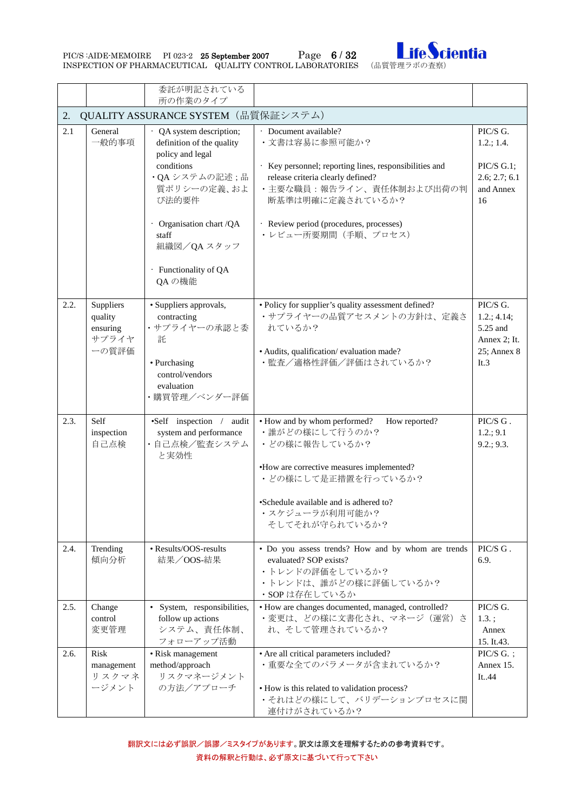PIC/S :AIDE-MEMOIRE PI 023-2 25 September 2007 Page 6 / 32 Inspection of Pharmaceutical Quality control laboratories (品質管理ラボの査察)



<span id="page-5-0"></span>

|      |                                                    | 委託が明記されている<br>所の作業のタイプ                                                                                                                                                                                                |                                                                                                                                                                                                                                                          |                                                                                          |  |  |  |
|------|----------------------------------------------------|-----------------------------------------------------------------------------------------------------------------------------------------------------------------------------------------------------------------------|----------------------------------------------------------------------------------------------------------------------------------------------------------------------------------------------------------------------------------------------------------|------------------------------------------------------------------------------------------|--|--|--|
| 2.   | QUALITY ASSURANCE SYSTEM (品質保証システム)                |                                                                                                                                                                                                                       |                                                                                                                                                                                                                                                          |                                                                                          |  |  |  |
| 2.1  | General<br>一般的事項                                   | · QA system description;<br>definition of the quality<br>policy and legal<br>conditions<br>·QAシステムの記述;品<br>質ポリシーの定義、およ<br>び法的要件<br>· Organisation chart /QA<br>staff<br>組織図/QAスタッフ<br>· Functionality of QA<br>QA の機能 | · Document available?<br>•文書は容易に参照可能か?<br>· Key personnel; reporting lines, responsibilities and<br>release criteria clearly defined?<br>• 主要な職員:報告ライン、責任体制および出荷の判<br>断基準は明確に定義されているか?<br>· Review period (procedures, processes)<br>・レビュー所要期間 (手順、プロセス) | PIC/S G.<br>1.2.; 1.4.<br>$\text{PIC}/\text{S}$ G.1;<br>2.6; 2.7; 6.1<br>and Annex<br>16 |  |  |  |
| 2.2. | Suppliers<br>quality<br>ensuring<br>サプライヤ<br>ーの質評価 | · Suppliers approvals,<br>contracting<br>・サプライヤーの承認と委<br>託<br>• Purchasing<br>control/vendors<br>evaluation<br>•購買管理/ベンダー評価                                                                                           | • Policy for supplier's quality assessment defined?<br>・サプライヤーの品質アセスメントの方針は、定義さ<br>れているか?<br>· Audits, qualification/evaluation made?<br>• 監査/適格性評価/評価はされているか?                                                                                           | PIC/S G.<br>1.2.; 4.14;<br>5.25 and<br>Annex 2; It.<br>25; Annex 8<br>It.3               |  |  |  |
| 2.3. | Self<br>inspection<br>自己点検                         | •Self inspection / audit<br>system and performance<br>•自己点検/監査システム<br>と実効性                                                                                                                                            | • How and by whom performed?<br>How reported?<br>•誰がどの様にして行うのか?<br>・どの様に報告しているか?<br>•How are corrective measures implemented?<br>・どの様にして是正措置を行っているか?<br>•Schedule available and is adhered to?<br>・スケジューラが利用可能か?<br>そしてそれが守られているか?                       | PIC/S G.<br>1.2:9.1<br>9.2:9.3.                                                          |  |  |  |
| 2.4. | Trending<br>傾向分析                                   | • Results/OOS-results<br>結果/OOS-結果                                                                                                                                                                                    | · Do you assess trends? How and by whom are trends<br>evaluated? SOP exists?<br>・トレンドの評価をしているか?<br>•トレンドは、誰がどの様に評価しているか?<br>·SOPは存在しているか                                                                                                                 | PIC/S G.<br>6.9.                                                                         |  |  |  |
| 2.5. | Change<br>control<br>変更管理                          | · System, responsibilities,<br>follow up actions<br>システム、責任体制、<br>フォローアップ活動                                                                                                                                           | • How are changes documented, managed, controlled?<br>•変更は、どの様に文書化され、マネージ (運営) さ<br>れ、そして管理されているか?                                                                                                                                                       | PIC/S G.<br>$1.3.$ ;<br>Annex<br>15. It.43.                                              |  |  |  |
| 2.6. | <b>Risk</b><br>management<br>リスクマネ<br>ージメント        | • Risk management<br>method/approach<br>リスクマネージメント<br>の方法/アプローチ                                                                                                                                                       | • Are all critical parameters included?<br>• 重要な全てのパラメータが含まれているか?<br>• How is this related to validation process?<br>・それはどの様にして、バリデーションプロセスに関<br>連付けがされているか?                                                                                             | PIC/S G.;<br>Annex 15.<br>It.44                                                          |  |  |  |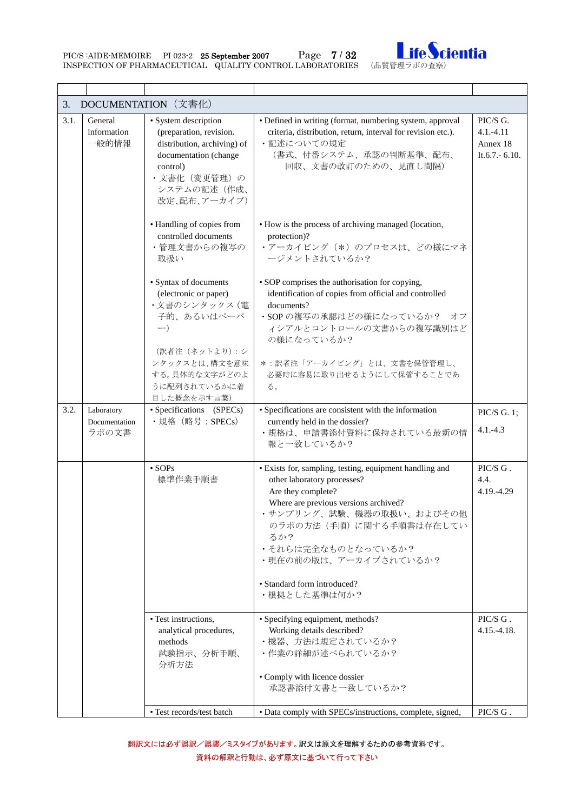PIC/S:AIDE-MEMOIRE PI 023-2 25 September 2007 Page 7/32 Inspection of Pharmaceutical Quality control laboratories (品質管理ラボの査察)



<span id="page-6-0"></span>

| 3.   |                                      | DOCUMENTATION (文書化)                                                                                                                                                |                                                                                                                                                                                                                                                                                                    |                                                            |
|------|--------------------------------------|--------------------------------------------------------------------------------------------------------------------------------------------------------------------|----------------------------------------------------------------------------------------------------------------------------------------------------------------------------------------------------------------------------------------------------------------------------------------------------|------------------------------------------------------------|
| 3.1. | General<br>information<br>一般的情報      | • System description<br>(preparation, revision.<br>distribution, archiving) of<br>documentation (change<br>control)<br>・文書化 (変更管理)の<br>システムの記述(作成、<br>改定、配布、アーカイブ) | • Defined in writing (format, numbering system, approval<br>criteria, distribution, return, interval for revision etc.).<br>・記述についての規定<br>(書式、付番システム、承認の判断基準、配布、<br>回収、文書の改訂のための、見直し間隔)                                                                                                            | PIC/S G.<br>$4.1 - 4.11$<br>Annex 18<br>It.6.7. - $6.10$ . |
|      |                                      | • Handling of copies from<br>controlled documents<br>・管理文書からの複写の<br>取扱い                                                                                            | • How is the process of archiving managed (location,<br>protection)?<br>•アーカイビング (*) のプロセスは、どの様にマネ<br>ージメントされているか?                                                                                                                                                                                 |                                                            |
|      |                                      | · Syntax of documents<br>(electronic or paper)<br>・文書のシンタックス (電<br>子的、あるいはペーパ<br>$-$ )<br>(訳者注 (ネットより): シ                                                          | • SOP comprises the authorisation for copying,<br>identification of copies from official and controlled<br>documents?<br>· SOP の複写の承認はどの様になっているか? オフ<br>ィシアルとコントロールの文書からの複写識別はど<br>の様になっているか?                                                                                                      |                                                            |
|      |                                      | ンタックスとは、構文を意味<br>する。具体的な文字がどのよ<br>うに配列されているかに着<br>目した概念を示す言葉)                                                                                                      | *:訳者注「アーカイビング」とは、文書を保管管理し、<br>必要時に容易に取り出せるようにして保管することであ<br>る。                                                                                                                                                                                                                                      |                                                            |
| 3.2. | Laboratory<br>Documentation<br>ラボの文書 | • Specifications (SPECs)<br>· 規格 (略号: SPECs)                                                                                                                       | • Specifications are consistent with the information<br>currently held in the dossier?<br>・規格は、申請書添付資料に保持されている最新の情<br>報と一致しているか?                                                                                                                                                                   | PIC/S G. 1;<br>$4.1 - 4.3$                                 |
|      |                                      | $\cdot$ SOPs<br>標準作業手順書                                                                                                                                            | · Exists for, sampling, testing, equipment handling and<br>other laboratory processes?<br>Are they complete?<br>Where are previous versions archived?<br>・サンプリング、試験、機器の取扱い、およびその他<br>のラボの方法 (手順)に関する手順書は存在してい<br>るか?<br>・それらは完全なものとなっているか?<br>・現在の前の版は、アーカイブされているか?<br>• Standard form introduced? | PIC/S G.<br>4.4.<br>4.19.-4.29                             |
|      |                                      | • Test instructions.<br>analytical procedures,<br>methods<br>試験指示、分析手順、<br>分析方法                                                                                    | • 根拠とした基準は何か?<br>• Specifying equipment, methods?<br>Working details described?<br>・機器、方法は規定されているか?<br>•作業の詳細が述べられているか?<br>• Comply with licence dossier<br>承認書添付文書と一致しているか?                                                                                                                       | PIC/S G.<br>$4.15.-4.18.$                                  |
|      |                                      | • Test records/test batch                                                                                                                                          | · Data comply with SPECs/instructions, complete, signed,                                                                                                                                                                                                                                           | PIC/S G.                                                   |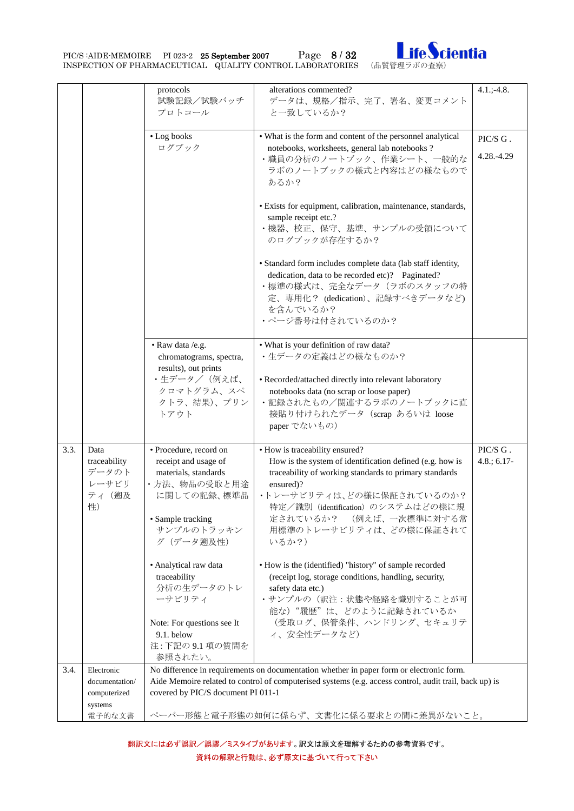PIC/S :AIDE-MEMOIRE PI 023-2 25 September 2007 Page 8 / 32 IFC Cientia



|      |                                                         | protocols<br>試験記録/試験バッチ<br>プロトコール                                                                                                                      | alterations commented?<br>データは、規格/指示、完了、署名、変更コメント<br>と一致しているか?                                                                                                                                                                                                                                      | $4.1$ .; -4.8.                   |  |  |
|------|---------------------------------------------------------|--------------------------------------------------------------------------------------------------------------------------------------------------------|-----------------------------------------------------------------------------------------------------------------------------------------------------------------------------------------------------------------------------------------------------------------------------------------------------|----------------------------------|--|--|
|      |                                                         | • Log books<br>ログブック                                                                                                                                   | • What is the form and content of the personnel analytical<br>notebooks, worksheets, general lab notebooks ?<br>•職員の分析のノートブック、作業シート、一般的な<br>ラボのノートブックの様式と内容はどの様なもので<br>あるか?                                                                                                                         | PIC/S G.<br>4.28.-4.29           |  |  |
|      |                                                         |                                                                                                                                                        | · Exists for equipment, calibration, maintenance, standards,<br>sample receipt etc.?<br>・機器、校正、保守、基準、サンプルの受領について<br>のログブックが存在するか?                                                                                                                                                                   |                                  |  |  |
|      |                                                         |                                                                                                                                                        | • Standard form includes complete data (lab staff identity,<br>dedication, data to be recorded etc)? Paginated?<br>•標準の様式は、完全なデータ (ラボのスタッフの特<br>定、専用化? (dedication)、記録すべきデータなど)<br>を含んでいるか?<br>•ページ番号は付されているのか?                                                                                     |                                  |  |  |
|      |                                                         | • Raw data /e.g.<br>chromatograms, spectra,<br>results), out prints<br>・生データ/(例えば、<br>クロマトグラム、スペ<br>クトラ、結果)、プリン<br>トアウト                                | • What is your definition of raw data?<br>•生データの定義はどの様なものか?<br>• Recorded/attached directly into relevant laboratory<br>notebooks data (no scrap or loose paper)<br>・記録されたもの/関連するラボのノートブックに直<br>接貼り付けられたデータ (scrap あるいは loose<br>paper でないもの)                                                       |                                  |  |  |
| 3.3. | Data<br>traceability<br>データのト<br>レーサビリ<br>ティ (遡及<br>性)  | · Procedure, record on<br>receipt and usage of<br>materials, standards<br>・方法、物品の受取と用途<br>に関しての記録、標準品<br>• Sample tracking<br>サンプルのトラッキン<br>グ (データ遡及性) | • How is traceability ensured?<br>How is the system of identification defined (e.g. how is<br>traceability of working standards to primary standards<br>ensured)?<br>・トレーサビリティは、どの様に保証されているのか?<br>特定/識別 (identification) のシステムはどの様に規<br>定されているか? (例えば、一次標準に対する常<br>用標準のトレーサビリティは、どの様に保証されて<br>いるか?) | PIC/S ${\rm G}$ .<br>$4.8:6.17-$ |  |  |
|      |                                                         | · Analytical raw data<br>traceability<br>分析の生データのトレ<br>ーサビリティ<br>Note: For questions see It<br>9.1. below                                              | • How is the (identified) "history" of sample recorded<br>(receipt log, storage conditions, handling, security,<br>safety data etc.)<br>・サンプルの(訳注:状態や経路を識別することが可<br>能な) "履歴"は、どのように記録されているか<br>(受取ログ、保管条件、ハンドリング、セキュリテ<br>ィ、安全性データなど)                                                               |                                  |  |  |
|      |                                                         | 注: 下記の 9.1 項の質問を<br>参照されたい。                                                                                                                            |                                                                                                                                                                                                                                                                                                     |                                  |  |  |
| 3.4. | Electronic<br>documentation/<br>computerized<br>systems | covered by PIC/S document PI 011-1                                                                                                                     | No difference in requirements on documentation whether in paper form or electronic form.<br>Aide Memoire related to control of computerised systems (e.g. access control, audit trail, back up) is                                                                                                  |                                  |  |  |
|      | 電子的な文書                                                  | ペーパー形態と電子形態の如何に係らず、文書化に係る要求との間に差異がないこと。                                                                                                                |                                                                                                                                                                                                                                                                                                     |                                  |  |  |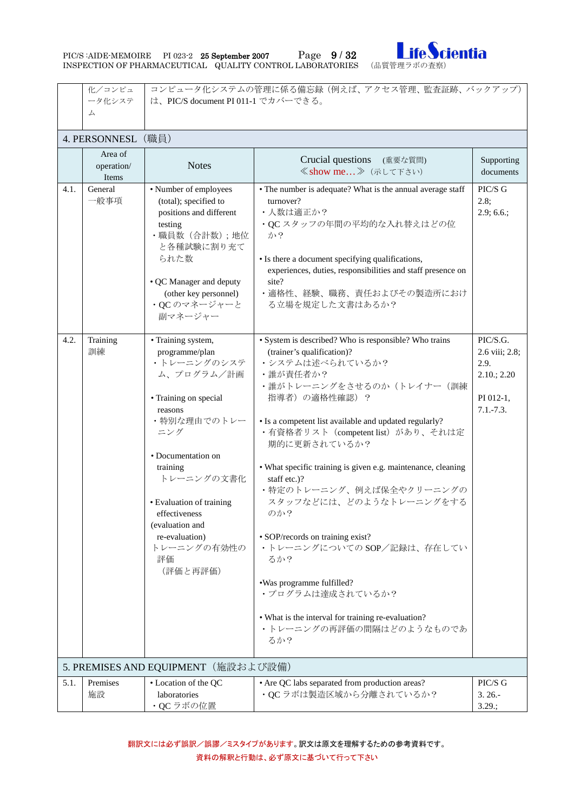| PIC/S :AIDE-MEMOIRE                                       | PI 023-2 25 September 2007 | Page $9/32$ |  |
|-----------------------------------------------------------|----------------------------|-------------|--|
| INSPECTION OF PHARMACEUTICAL QUALITY CONTROL LABORATORIES |                            |             |  |



<span id="page-8-1"></span><span id="page-8-0"></span>

|      | コンピュータ化システムの管理に係る備忘録(例えば、アクセス管理、監査証跡、バックアップ)<br>化/コンピュ |                                     |                                                                                              |                 |  |  |  |
|------|--------------------------------------------------------|-------------------------------------|----------------------------------------------------------------------------------------------|-----------------|--|--|--|
|      | ータ化システ<br>ム                                            | は、PIC/S document PI 011-1 でカバーできる。  |                                                                                              |                 |  |  |  |
|      |                                                        |                                     |                                                                                              |                 |  |  |  |
|      | 4. PERSONNESL                                          | (職員)                                |                                                                                              |                 |  |  |  |
|      | Area of                                                |                                     |                                                                                              |                 |  |  |  |
|      | operation/                                             | <b>Notes</b>                        | Crucial questions (重要な質問)                                                                    | Supporting      |  |  |  |
|      | Items                                                  |                                     | ≪show me 》 (示して下さい)                                                                          | documents       |  |  |  |
| 4.1. | General                                                | • Number of employees               | • The number is adequate? What is the annual average staff                                   | PIC/S G         |  |  |  |
|      | 一般事項                                                   | (total); specified to               | turnover?                                                                                    | 2.8;            |  |  |  |
|      |                                                        | positions and different             | • 人数は適正か?                                                                                    | $2.9; 6.6$ .;   |  |  |  |
|      |                                                        | testing                             | ·QCスタッフの年間の平均的な入れ替えはどの位                                                                      |                 |  |  |  |
|      |                                                        | ·職員数 (合計数);地位<br>と各種試験に割り充て         | か?                                                                                           |                 |  |  |  |
|      |                                                        | られた数                                | • Is there a document specifying qualifications,                                             |                 |  |  |  |
|      |                                                        |                                     | experiences, duties, responsibilities and staff presence on                                  |                 |  |  |  |
|      |                                                        | • QC Manager and deputy             | site?                                                                                        |                 |  |  |  |
|      |                                                        | (other key personnel)               | ・適格性、経験、職務、責任およびその製造所におけ                                                                     |                 |  |  |  |
|      |                                                        | ·QCのマネージャーと                         | る立場を規定した文書はあるか?                                                                              |                 |  |  |  |
|      |                                                        | 副マネージャー                             |                                                                                              |                 |  |  |  |
| 4.2. | Training                                               | • Training system,                  | • System is described? Who is responsible? Who trains                                        | PIC/S.G.        |  |  |  |
|      | 訓練                                                     | programme/plan                      | (trainer's qualification)?                                                                   | 2.6 viii; 2.8;  |  |  |  |
|      |                                                        | ・トレーニングのシステ                         | •システムは述べられているか?                                                                              | 2.9.            |  |  |  |
|      |                                                        | ム、プログラム/計画                          | •誰が責任者か?                                                                                     | $2.10$ ; $2.20$ |  |  |  |
|      |                                                        |                                     | ・誰がトレーニングをさせるのか (トレイナー (訓練                                                                   |                 |  |  |  |
|      |                                                        | • Training on special               | 指導者)の適格性確認)?                                                                                 | PI 012-1,       |  |  |  |
|      |                                                        | reasons                             |                                                                                              | $7.1 - 7.3.$    |  |  |  |
|      |                                                        | ・特別な理由でのトレー<br>ニング                  | • Is a competent list available and updated regularly?<br>・有資格者リスト (competent list) があり、それは定 |                 |  |  |  |
|      |                                                        |                                     | 期的に更新されているか?                                                                                 |                 |  |  |  |
|      |                                                        | • Documentation on                  |                                                                                              |                 |  |  |  |
|      |                                                        | training                            | • What specific training is given e.g. maintenance, cleaning                                 |                 |  |  |  |
|      |                                                        | トレーニングの文書化                          | staff etc.)?                                                                                 |                 |  |  |  |
|      |                                                        |                                     | ・特定のトレーニング、例えば保全やクリーニングの                                                                     |                 |  |  |  |
|      |                                                        | • Evaluation of training            | スタッフなどには、どのようなトレーニングをする<br>のか?                                                               |                 |  |  |  |
|      |                                                        | effectiveness<br>(evaluation and    |                                                                                              |                 |  |  |  |
|      |                                                        | re-evaluation)                      | • SOP/records on training exist?                                                             |                 |  |  |  |
|      |                                                        | トレーニングの有効性の                         | ·トレーニングについてのSOP/記録は、存在してい                                                                    |                 |  |  |  |
|      |                                                        | 評価                                  | るか?                                                                                          |                 |  |  |  |
|      |                                                        | (評価と再評価)                            |                                                                                              |                 |  |  |  |
|      |                                                        |                                     | .Was programme fulfilled?                                                                    |                 |  |  |  |
|      |                                                        |                                     | ・プログラムは達成されているか?                                                                             |                 |  |  |  |
|      |                                                        |                                     | • What is the interval for training re-evaluation?                                           |                 |  |  |  |
|      |                                                        |                                     | ・トレーニングの再評価の間隔はどのようなものであ                                                                     |                 |  |  |  |
|      |                                                        |                                     | るか?                                                                                          |                 |  |  |  |
|      |                                                        |                                     |                                                                                              |                 |  |  |  |
|      |                                                        | 5. PREMISES AND EQUIPMENT (施設および設備) |                                                                                              |                 |  |  |  |
| 5.1. | Premises                                               | • Location of the QC                | • Are QC labs separated from production areas?                                               | PIC/S G         |  |  |  |
|      | 施設                                                     | laboratories                        | ·QCラボは製造区域から分離されているか?                                                                        | $3.26 -$        |  |  |  |
|      |                                                        | ·QCラボの位置                            |                                                                                              | 3.29:           |  |  |  |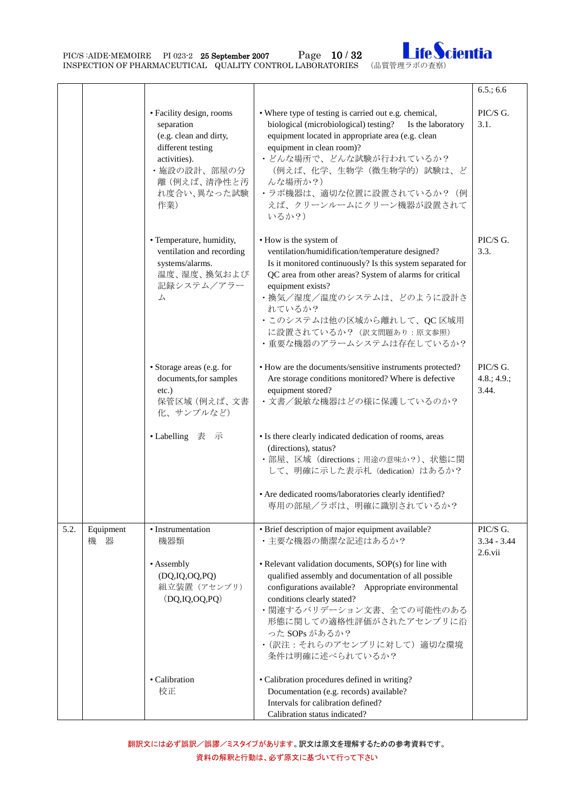PIC/S :AIDE-MEMOIRE PI 023-2 25 September 2007 Page 10 / 32 Ife Cientia



|      |                  |                                                                                                                                                           |                                                                                                                                                                                                                                                                                                                                                                                                         | $6.5$ ; 6.6                             |
|------|------------------|-----------------------------------------------------------------------------------------------------------------------------------------------------------|---------------------------------------------------------------------------------------------------------------------------------------------------------------------------------------------------------------------------------------------------------------------------------------------------------------------------------------------------------------------------------------------------------|-----------------------------------------|
|      |                  | • Facility design, rooms<br>separation<br>(e.g. clean and dirty,<br>different testing<br>activities).<br>・施設の設計、部屋の分<br>離(例えば、清浄性と汚<br>れ度合い、異なった試験<br>作業) | • Where type of testing is carried out e.g. chemical,<br>biological (microbiological) testing? Is the laboratory<br>equipment located in appropriate area (e.g. clean<br>equipment in clean room)?<br>• どんな場所で、どんな試験が行われているか?<br>(例えば、化学、生物学(微生物学的) 試験は、ど<br>んな場所か?)<br>•ラボ機器は、適切な位置に設置されているか? (例<br>えば、クリーンルームにクリーン機器が設置されて<br>いるか?)                                                                   | PIC/S G.<br>3.1.                        |
|      |                  | • Temperature, humidity,<br>ventilation and recording<br>systems/alarms.<br>温度、湿度、換気および<br>記録システム/アラー<br>厶                                                | • How is the system of<br>ventilation/humidification/temperature designed?<br>Is it monitored continuously? Is this system separated for<br>QC area from other areas? System of alarms for critical<br>equipment exists?<br>•換気/湿度/温度のシステムは、どのように設計さ<br>れているか?<br>·このシステムは他の区域から離れして、QC区域用<br>に設置されているか? (訳文問題あり:原文参照)<br>• 重要な機器のアラームシステムは存在しているか?                                                     | PIC/S G.<br>3.3.                        |
|      |                  | • Storage areas (e.g. for<br>documents, for samples<br>$etc.$ )<br>保管区域 (例えば、文書<br>化、サンプルなど)<br>• Labelling 表 示                                           | • How are the documents/sensitive instruments protected?<br>Are storage conditions monitored? Where is defective<br>equipment stored?<br>• 文書/鋭敏な機器はどの様に保護しているのか?<br>• Is there clearly indicated dedication of rooms, areas<br>(directions), status?<br>・部屋、区域 (directions;用途の意味か?)、状態に関                                                                                                               | PIC/S G.<br>4.8.; 4.9.;<br>3.44.        |
|      |                  |                                                                                                                                                           | して、明確に示した表示札 (dedication) はあるか?<br>• Are dedicated rooms/laboratories clearly identified?<br>専用の部屋/ラボは、明確に識別されているか?                                                                                                                                                                                                                                                                                     |                                         |
| 5.2. | Equipment<br>機 器 | • Instrumentation<br>機器類<br>• Assembly<br>(DQ, IQ, OQ, PQ)<br>組立装置 (アセンブリ)<br>(DQ, IQ, OQ, PQ)                                                            | • Brief description of major equipment available?<br>• 主要な機器の簡潔な記述はあるか?<br>• Relevant validation documents, SOP(s) for line with<br>qualified assembly and documentation of all possible<br>configurations available? Appropriate environmental<br>conditions clearly stated?<br>・関連するバリデーション文書、全ての可能性のある<br>形態に関しての適格性評価がされたアセンブリに沿<br>った SOPs があるか?<br>• (訳注: それらのアセンブリに対して) 適切な環境<br>条件は明確に述べられているか? | PIC/S G.<br>$3.34 - 3.44$<br>$2.6.$ vii |
|      |                  | • Calibration<br>校正                                                                                                                                       | • Calibration procedures defined in writing?<br>Documentation (e.g. records) available?<br>Intervals for calibration defined?<br>Calibration status indicated?                                                                                                                                                                                                                                          |                                         |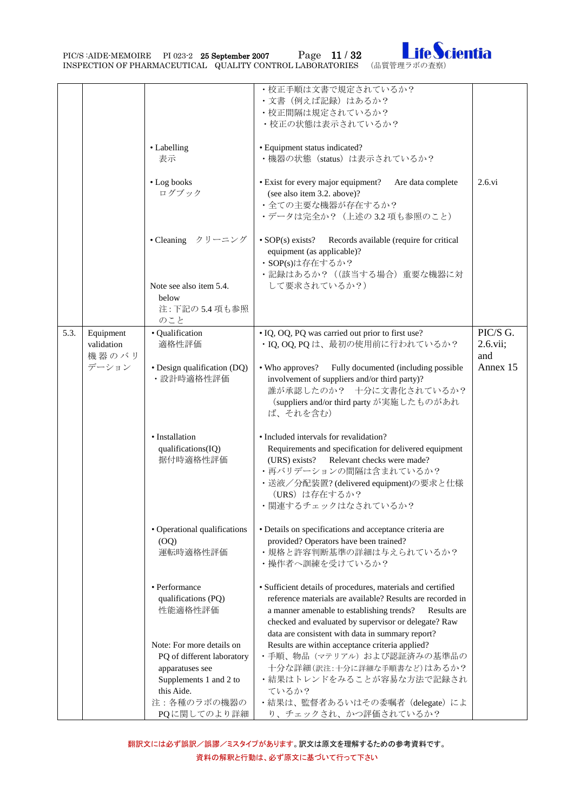PIC/S :AIDE-MEMOIRE PI 023-2 25 September 2007 Page 11 / 32 Inspection of Pharmaceutical Quality control laboratories (品質管理ラボの査察)



|      |                                  |                                                                                                                    | • 校正手順は文書で規定されているか?<br>•文書 (例えば記録) はあるか?<br>・校正間隔は規定されているか?<br>• 校正の状態は表示されているか?                                                                                                                                                                                                                  |                             |
|------|----------------------------------|--------------------------------------------------------------------------------------------------------------------|---------------------------------------------------------------------------------------------------------------------------------------------------------------------------------------------------------------------------------------------------------------------------------------------------|-----------------------------|
|      |                                  | • Labelling<br>表示                                                                                                  | • Equipment status indicated?<br>・機器の状態 (status) は表示されているか?                                                                                                                                                                                                                                       |                             |
|      |                                  | • Log books<br>ログブック                                                                                               | • Exist for every major equipment?<br>Are data complete<br>(see also item 3.2. above)?<br>・全ての主要な機器が存在するか?<br>・データは完全か? (上述の3.2 項も参照のこと)                                                                                                                                                          | $2.6.$ vi                   |
|      |                                  | • Cleaning クリーニング                                                                                                  | • $SOP(s)$ exists?<br>Records available (require for critical<br>equipment (as applicable)?<br>· SOP(s)は存在するか?<br>・記録はあるか? ((該当する場合) 重要な機器に対                                                                                                                                                      |                             |
|      |                                  | Note see also item 5.4.<br>below<br>注: 下記の 5.4 項も参照<br>のこと                                                         | して要求されているか?)                                                                                                                                                                                                                                                                                      |                             |
| 5.3. | Equipment<br>validation<br>機器のバリ | · Qualification<br>適格性評価                                                                                           | · IQ, OQ, PQ was carried out prior to first use?<br>· IQ, OQ, PQ は、最初の使用前に行われているか?                                                                                                                                                                                                                | PIC/S G.<br>2.6.vii;<br>and |
|      | デーション                            | • Design qualification (DQ)<br>·設計時適格性評価                                                                           | • Who approves?<br>Fully documented (including possible<br>involvement of suppliers and/or third party)?<br>誰が承認したのか? 十分に文書化されているか?<br>(suppliers and/or third party が実施したものがあれ<br>ば、それを含む)                                                                                                       | Annex 15                    |
|      |                                  | • Installation<br>qualifications(IQ)<br>据付時適格性評価                                                                   | • Included intervals for revalidation?<br>Requirements and specification for delivered equipment<br>Relevant checks were made?<br>(URS) exists?<br>•再バリデーションの間隔は含まれているか?<br>・送液/分配装置? (delivered equipment)の要求と仕様<br>(URS) は存在するか?<br>・関連するチェックはなされているか?                                          |                             |
|      |                                  | • Operational qualifications<br>(OQ)<br>運転時適格性評価                                                                   | • Details on specifications and acceptance criteria are<br>provided? Operators have been trained?<br>・規格と許容判断基準の詳細は与えられているか?<br>・操作者へ訓練を受けているか?                                                                                                                                                   |                             |
|      |                                  | • Performance<br>qualifications (PQ)<br>性能適格性評価                                                                    | · Sufficient details of procedures, materials and certified<br>reference materials are available? Results are recorded in<br>a manner amenable to establishing trends?<br>Results are<br>checked and evaluated by supervisor or delegate? Raw<br>data are consistent with data in summary report? |                             |
|      |                                  | Note: For more details on<br>PQ of different laboratory<br>apparatuses see<br>Supplements 1 and 2 to<br>this Aide. | Results are within acceptance criteria applied?<br>・手順、物品 (マテリアル) および認証済みの基準品の<br>十分な詳細(訳注:十分に詳細な手順書など)はあるか?<br>・結果はトレンドをみることが容易な方法で記録され<br>ているか?                                                                                                                                                 |                             |
|      |                                  | 注:各種のラボの機器の<br>PQに関してのより詳細                                                                                         | ・結果は、監督者あるいはその委嘱者 (delegate) によ<br>り、チェックされ、かつ評価されているか?                                                                                                                                                                                                                                           |                             |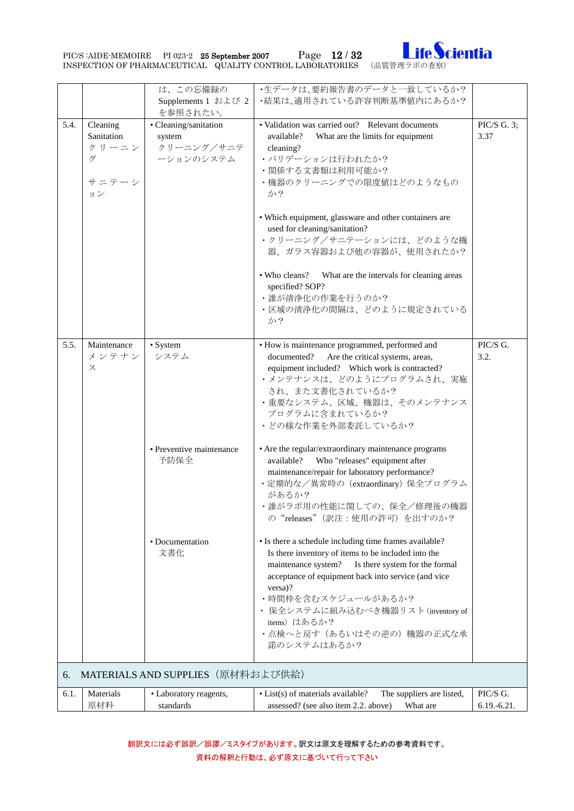PIC/S :AIDE-MEMOIRE PI 023-2 25 September 2007 Page 12 / 32 Ife Cientia



<span id="page-11-0"></span>

|      |                                                     | は、この忘備録の<br>Supplements 1 および 2<br>を参照されたい。                | ・生データは、要約報告書のデータと一致しているか?<br>•結果は、適用されている許容判断基準値内にあるか?                                                                                                                                                                                                                                                                                                           |                         |
|------|-----------------------------------------------------|------------------------------------------------------------|------------------------------------------------------------------------------------------------------------------------------------------------------------------------------------------------------------------------------------------------------------------------------------------------------------------------------------------------------------------|-------------------------|
| 5.4. | Cleaning<br>Sanitation<br>クリーニン<br>ゲ<br>サニテーシ<br>ョン | · Cleaning/sanitation<br>system<br>クリーニング/サニテ<br>ーションのシステム | • Validation was carried out? Relevant documents<br>What are the limits for equipment<br>available?<br>cleaning?<br>・バリデーションは行われたか?<br>•関係する文書類は利用可能か?<br>・機器のクリーニングでの限度値はどのようなもの<br>か?                                                                                                                                                                          | PIC/S G. 3;<br>3.37     |
|      |                                                     |                                                            | • Which equipment, glassware and other containers are<br>used for cleaning/sanitation?<br>・クリーニング/サニテーションには、どのような機<br>器、ガラス容器および他の容器が、使用されたか?                                                                                                                                                                                                                    |                         |
|      |                                                     |                                                            | • Who cleans?<br>What are the intervals for cleaning areas<br>specified? SOP?<br>•誰が清浄化の作業を行うのか?<br>・区域の清浄化の間隔は、どのように規定されている<br>か?                                                                                                                                                                                                                               |                         |
| 5.5. | Maintenance<br>メンテナン<br>ス                           | • System<br>システム                                           | • How is maintenance programmed, performed and<br>Are the critical systems, areas,<br>documented?<br>equipment included? Which work is contracted?<br>・メンテナンスは、どのようにプログラムされ、実施<br>され、また文書化されているか?<br>・重要なシステム、区域、機器は、そのメンテナンス<br>プログラムに含まれているか?<br>• どの様な作業を外部委託しているか?                                                                                           | PIC/S G.<br>3.2.        |
|      |                                                     | • Preventive maintenance<br>予防保全                           | • Are the regular/extraordinary maintenance programs<br>available?<br>Who "releases" equipment after<br>maintenance/repair for laboratory performance?<br>・定期的な/異常時の (extraordinary) 保全プログラム<br>があるか?<br>•誰がラボ用の性能に関しての、保全/修理後の機器<br>の"releases"(訳注:使用の許可)を出すのか?                                                                                                 |                         |
|      |                                                     | • Documentation<br>文書化                                     | • Is there a schedule including time frames available?<br>Is there inventory of items to be included into the<br>maintenance system?<br>Is there system for the formal<br>acceptance of equipment back into service (and vice<br>versa)?<br>•時間枠を含むスケジュールがあるか?<br>• 保全システムに組み込むべき機器リスト(inventory of<br>items)はあるか?<br>• 点検へと戻す (あるいはその逆の) 機器の正式な承<br>諾のシステムはあるか? |                         |
| 6.   |                                                     | MATERIALS AND SUPPLIES (原材料および供給)                          |                                                                                                                                                                                                                                                                                                                                                                  |                         |
| 6.1. | Materials<br>原材料                                    | • Laboratory reagents,<br>standards                        | • List(s) of materials available?<br>The suppliers are listed,<br>assessed? (see also item 2.2. above)<br>What are                                                                                                                                                                                                                                               | PIC/S G.<br>6.19.-6.21. |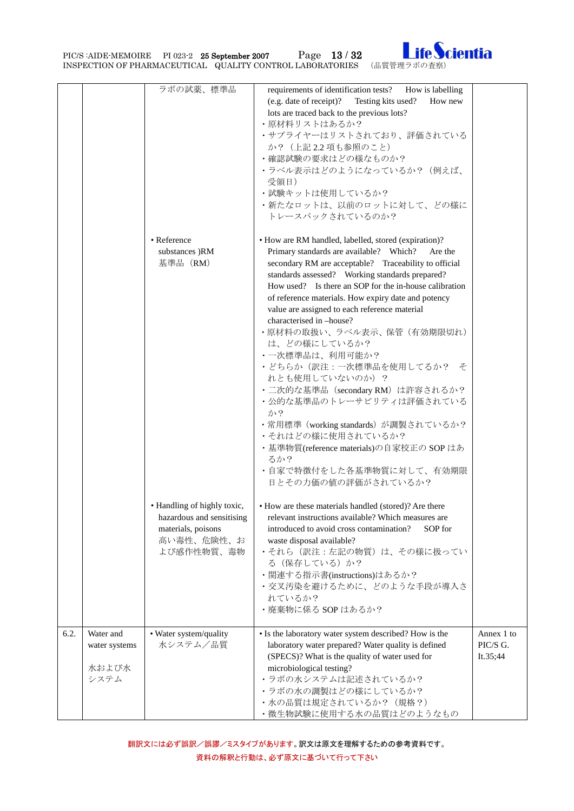PIC/S :AIDE-MEMOIRE PI 023-2 25 September 2007 Page 13 / 32 Ife Cientia



|      |               | ラボの試薬、標準品                   | requirements of identification tests? How is labelling |            |
|------|---------------|-----------------------------|--------------------------------------------------------|------------|
|      |               |                             | (e.g. date of receipt)? Testing kits used?<br>How new  |            |
|      |               |                             | lots are traced back to the previous lots?             |            |
|      |               |                             | ・原材料リストはあるか?                                           |            |
|      |               |                             | ・サプライヤーはリストされており、評価されている                               |            |
|      |               |                             | か? (上記2.2 項も参照のこと)                                     |            |
|      |               |                             |                                                        |            |
|      |               |                             | •確認試験の要求はどの様なものか?                                      |            |
|      |               |                             | ・ラベル表示はどのようになっているか? (例えば、                              |            |
|      |               |                             | 受領日)                                                   |            |
|      |               |                             | •試験キットは使用しているか?                                        |            |
|      |               |                             | ・新たなロットは、以前のロットに対して、どの様に                               |            |
|      |               |                             | トレースバックされているのか?                                        |            |
|      |               |                             |                                                        |            |
|      |               |                             |                                                        |            |
|      |               | • Reference                 | • How are RM handled, labelled, stored (expiration)?   |            |
|      |               | substances )RM              | Primary standards are available? Which?<br>Are the     |            |
|      |               | 基準品 (RM)                    | secondary RM are acceptable? Traceability to official  |            |
|      |               |                             | standards assessed? Working standards prepared?        |            |
|      |               |                             | How used? Is there an SOP for the in-house calibration |            |
|      |               |                             | of reference materials. How expiry date and potency    |            |
|      |               |                             |                                                        |            |
|      |               |                             | value are assigned to each reference material          |            |
|      |               |                             | characterised in -house?                               |            |
|      |               |                             | •原材料の取扱い、ラベル表示、保管(有効期限切れ)                              |            |
|      |               |                             | は、どの様にしているか?                                           |            |
|      |               |                             | •一次標準品は、利用可能か?                                         |            |
|      |               |                             | ・どちらか(訳注:一次標準品を使用してるか? そ                               |            |
|      |               |                             | れとも使用していないのか)?                                         |            |
|      |               |                             | ・二次的な基準品 (secondary RM) は許容されるか?                       |            |
|      |               |                             | ・公的な基準品のトレーサビリティは評価されている                               |            |
|      |               |                             |                                                        |            |
|      |               |                             | か?                                                     |            |
|      |               |                             | ・常用標準(working standards)が調製されているか?                     |            |
|      |               |                             | •それはどの様に使用されているか?                                      |            |
|      |               |                             | ・基準物質(reference materials)の自家校正の SOP はあ                |            |
|      |               |                             | るか?                                                    |            |
|      |               |                             | ・自家で特徴付をした各基準物質に対して、有効期限                               |            |
|      |               |                             | 日とその力価の値の評価がされているか?                                    |            |
|      |               |                             |                                                        |            |
|      |               |                             |                                                        |            |
|      |               | • Handling of highly toxic, | • How are these materials handled (stored)? Are there  |            |
|      |               | hazardous and sensitising   | relevant instructions available? Which measures are    |            |
|      |               | materials, poisons          | introduced to avoid cross contamination?<br>SOP for    |            |
|      |               | 高い毒性、危険性、お                  | waste disposal available?                              |            |
|      |               | よび感作性物質、毒物                  | ・それら(訳注:左記の物質)は、その様に扱ってい                               |            |
|      |               |                             | る (保存している)か?                                           |            |
|      |               |                             | ・関連する指示書(instructions)はあるか?                            |            |
|      |               |                             | ・交叉汚染を避けるために、どのような手段が導入さ                               |            |
|      |               |                             | れているか?                                                 |            |
|      |               |                             |                                                        |            |
|      |               |                             | ·廃棄物に係る SOP はあるか?                                      |            |
|      |               |                             |                                                        |            |
| 6.2. | Water and     | • Water system/quality      | • Is the laboratory water system described? How is the | Annex 1 to |
|      | water systems | 水システム/品質                    | laboratory water prepared? Water quality is defined    | PIC/S G.   |
|      |               |                             | (SPECS)? What is the quality of water used for         | It.35;44   |
|      | 水および水         |                             | microbiological testing?                               |            |
|      | システム          |                             | ・ラボの水システムは記述されているか?                                    |            |
|      |               |                             | ・ラボの水の調製はどの様にしているか?                                    |            |
|      |               |                             | ・水の品質は規定されているか? (規格?)                                  |            |
|      |               |                             |                                                        |            |
|      |               |                             | ・微生物試験に使用する水の品質はどのようなもの                                |            |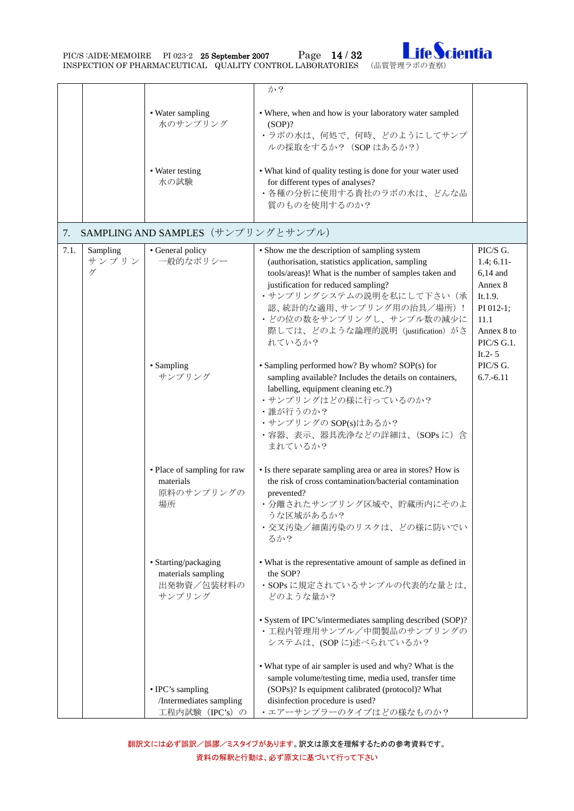PIC/S :AIDE-MEMOIRE PI 023-2 25 September 2007 Page 14 / 32 Ife Cientia



<span id="page-13-0"></span>

|      |                        |                                                                    | か?                                                                                                                                                                                                                                                                                                                                   |                                                                                                                              |
|------|------------------------|--------------------------------------------------------------------|--------------------------------------------------------------------------------------------------------------------------------------------------------------------------------------------------------------------------------------------------------------------------------------------------------------------------------------|------------------------------------------------------------------------------------------------------------------------------|
|      |                        | • Water sampling<br>水のサンプリング                                       | • Where, when and how is your laboratory water sampled<br>$(SOP)$ ?<br>・ラボの水は、何処で、何時、どのようにしてサンプ<br>ルの採取をするか? (SOPはあるか?)                                                                                                                                                                                                              |                                                                                                                              |
|      |                        | • Water testing<br>水の試験                                            | • What kind of quality testing is done for your water used<br>for different types of analyses?<br>• 各種の分析に使用する貴社のラボの水は、どんな品<br>質のものを使用するのか?                                                                                                                                                                                          |                                                                                                                              |
| 7.   |                        | SAMPLING AND SAMPLES (サンプリングとサンプル)                                 |                                                                                                                                                                                                                                                                                                                                      |                                                                                                                              |
| 7.1. | Sampling<br>サンプリン<br>ゲ | • General policy<br>一般的なポリシー                                       | • Show me the description of sampling system<br>(authorisation, statistics application, sampling<br>tools/areas)! What is the number of samples taken and<br>justification for reduced sampling?<br>・サンプリングシステムの説明を私にして下さい(承<br>認、統計的な適用、サンプリング用の治具/場所)!<br>・どの位の数をサンプリングし、サンプル数の減少に<br>際しては、どのような論理的説明 (justification) がさ<br>れているか? | PIC/S G.<br>$1.4; 6.11-$<br>$6,14$ and<br>Annex 8<br>It.1.9.<br>PI 012-1;<br>11.1<br>Annex 8 to<br>PIC/S G.1.<br>It. $2 - 5$ |
|      |                        | • Sampling<br>サンプリング                                               | • Sampling performed how? By whom? SOP(s) for<br>sampling available? Includes the details on containers,<br>labelling, equipment cleaning etc.?)<br>・サンプリングはどの様に行っているのか?<br>•誰が行うのか?<br>・サンプリングの SOP(s)はあるか?<br>· 容器、表示、器具洗浄などの詳細は、(SOPsに)含<br>まれているか?                                                                               | PIC/S G.<br>$6.7.-6.11$                                                                                                      |
|      |                        | • Place of sampling for raw<br>materials<br>原料のサンプリングの<br>場所       | • Is there separate sampling area or area in stores? How is<br>the risk of cross contamination/bacterial contamination<br>prevented?<br>・分離されたサンプリング区域や、貯蔵所内にそのよ<br>うな区域があるか?<br>• 交叉汚染/細菌汚染のリスクは、どの様に防いでい<br>るか?                                                                                                                    |                                                                                                                              |
|      |                        | • Starting/packaging<br>materials sampling<br>出発物資/包装材料の<br>サンプリング | • What is the representative amount of sample as defined in<br>the SOP?<br>· SOPs に規定されているサンプルの代表的な量とは、<br>どのような量か?                                                                                                                                                                                                                  |                                                                                                                              |
|      |                        |                                                                    | • System of IPC's/intermediates sampling described (SOP)?<br>• 工程内管理用サンプル/中間製品のサンプリングの<br>システムは、(SOPに)述べられているか?                                                                                                                                                                                                                      |                                                                                                                              |
|      |                        | • IPC's sampling<br>/Intermediates sampling<br>工程内試験 (IPC's) の     | • What type of air sampler is used and why? What is the<br>sample volume/testing time, media used, transfer time<br>(SOPs)? Is equipment calibrated (protocol)? What<br>disinfection procedure is used?<br>•エアーサンプラーのタイプはどの様なものか?                                                                                                    |                                                                                                                              |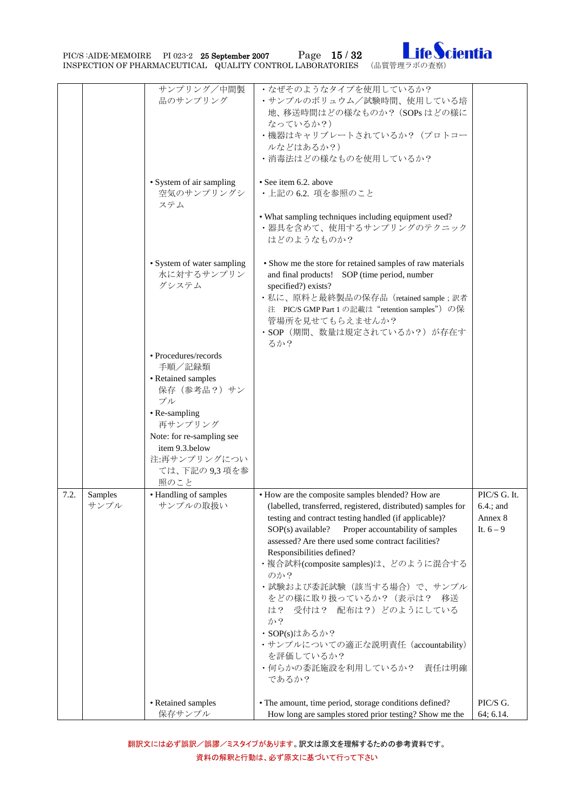PIC/S :AIDE-MEMOIRE PI 023-2 25 September 2007 Page 15 / 32 Ife Cientia



|      |                 | サンプリング/中間製<br>品のサンプリング                                                                           | •なぜそのようなタイプを使用しているか?<br>•サンプルのボリュウム/試験時間、使用している培<br>地、移送時間はどの様なものか? (SOPsはどの様に<br>なっているか?)<br>・機器はキャリブレートされているか? (プロトコー<br>ルなどはあるか?)<br>• 消毒法はどの様なものを使用しているか?                                                                                                                                                                                                                                                                                                                                                                                                             |                                                        |
|------|-----------------|--------------------------------------------------------------------------------------------------|---------------------------------------------------------------------------------------------------------------------------------------------------------------------------------------------------------------------------------------------------------------------------------------------------------------------------------------------------------------------------------------------------------------------------------------------------------------------------------------------------------------------------------------------------------------------------|--------------------------------------------------------|
|      |                 | • System of air sampling<br>空気のサンプリングシ<br>ステム                                                    | • See item 6.2, above<br>· 上記の 6.2. 項を参照のこと<br>• What sampling techniques including equipment used?<br>・器具を含めて、使用するサンプリングのテクニック<br>はどのようなものか?                                                                                                                                                                                                                                                                                                                                                                                                                             |                                                        |
|      |                 | • System of water sampling<br>水に対するサンプリン<br>グシステム                                                | • Show me the store for retained samples of raw materials<br>and final products! SOP (time period, number<br>specified?) exists?<br>・私に、原料と最終製品の保存品(retained sample ; 訳者<br>注 PIC/S GMP Part 1 の記載は "retention samples") の保<br>管場所を見せてもらえませんか?<br>· SOP (期間、数量は規定されているか?) が存在す<br>るか?                                                                                                                                                                                                                                                                                     |                                                        |
|      |                 | • Procedures/records<br>手順/記録類<br>• Retained samples<br>保存 (参考品?) サン<br>プル<br>• Re-sampling      |                                                                                                                                                                                                                                                                                                                                                                                                                                                                                                                                                                           |                                                        |
|      |                 | 再サンプリング<br>Note: for re-sampling see<br>item 9.3.below<br>注:再サンプリングについ<br>ては、下記の 9,3 項を参<br>照のこと |                                                                                                                                                                                                                                                                                                                                                                                                                                                                                                                                                                           |                                                        |
| 7.2. | Samples<br>サンプル | • Handling of samples<br>サンプルの取扱い                                                                | • How are the composite samples blended? How are<br>(labelled, transferred, registered, distributed) samples for<br>testing and contract testing handled (if applicable)?<br>Proper accountability of samples<br>SOP(s) available?<br>assessed? Are there used some contract facilities?<br>Responsibilities defined?<br>・複合試料(composite samples)は、どのように混合する<br>のか?<br>•試験および委託試験(該当する場合)で、サンプル<br>をどの様に取り扱っているか? (表示は? 移送<br>受付は? 配布は?) どのようにしている<br>は?<br>か?<br>・SOP(s)はあるか?<br>·サンプルについての適正な説明責任 (accountability)<br>を評価しているか?<br>・何らかの委託施設を利用しているか?<br>責任は明確<br>であるか? | PIC/S G. It.<br>$6.4$ .; and<br>Annex 8<br>It. $6 - 9$ |
|      |                 | • Retained samples<br>保存サンプル                                                                     | • The amount, time period, storage conditions defined?<br>How long are samples stored prior testing? Show me the                                                                                                                                                                                                                                                                                                                                                                                                                                                          | PIC/S G.<br>64; 6.14.                                  |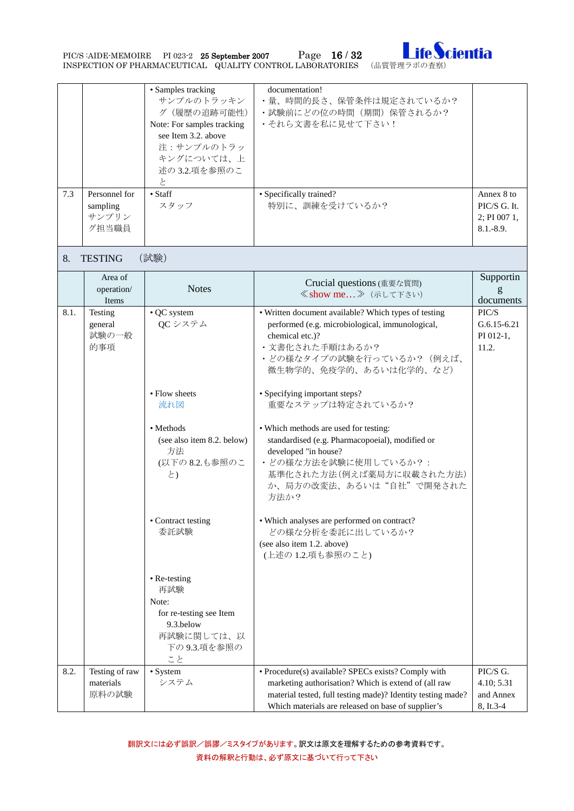PIC/S :AIDE-MEMOIRE PI 023-2 25 September 2007 Page 16 / 32 Ife Cientia



<span id="page-15-0"></span>

| 7.3  | Personnel for<br>sampling<br>サンプリン<br>グ担当職員 | • Samples tracking<br>サンプルのトラッキン<br>グ (履歴の追跡可能性)<br>Note: For samples tracking<br>see Item 3.2. above<br>注:サンプルのトラッ<br>キングについては、上<br>述の 3.2.項を参照のこ<br>と<br>$\bullet$ Staff<br>スタッフ | documentation!<br>•量、時間的長さ、保管条件は規定されているか?<br>• 試験前にどの位の時間(期間)保管されるか?<br>・それら文書を私に見せて下さい!<br>· Specifically trained?<br>特別に、訓練を受けているか?                                                                                                                                                                                                                                          | Annex 8 to<br>PIC/S G. It.<br>2; PI 007 1,<br>$8.1 - 8.9.$ |
|------|---------------------------------------------|------------------------------------------------------------------------------------------------------------------------------------------------------------------------------------|--------------------------------------------------------------------------------------------------------------------------------------------------------------------------------------------------------------------------------------------------------------------------------------------------------------------------------------------------------------------------------|------------------------------------------------------------|
| 8.   | <b>TESTING</b>                              | (試験)                                                                                                                                                                               |                                                                                                                                                                                                                                                                                                                                                                                |                                                            |
|      | Area of<br>operation/<br>Items              | <b>Notes</b>                                                                                                                                                                       | Crucial questions (重要な質問)<br>≪show me 》 (示して下さい)                                                                                                                                                                                                                                                                                                                               | Supportin<br>documents                                     |
| 8.1. | Testing<br>general<br>試験の一般<br>的事項          | • QC system<br>QC システム<br>• Flow sheets<br>流れ図<br>• Methods<br>(see also item 8.2. below)<br>方法                                                                                    | • Written document available? Which types of testing<br>performed (e.g. microbiological, immunological,<br>chemical etc.)?<br>・文書化された手順はあるか?<br>• どの様なタイプの試験を行っているか? (例えば、<br>微生物学的、免疫学的、あるいは化学的、など)<br>• Specifying important steps?<br>重要なステップは特定されているか?<br>• Which methods are used for testing:<br>standardised (e.g. Pharmacopoeial), modified or<br>developed "in house? | PIC/S<br>$G.6.15 - 6.21$<br>PI 012-1,<br>11.2.             |
|      |                                             | (以下の8.2.も参照のこ<br>と)<br>• Contract testing                                                                                                                                          | ・どの様な方法を試験に使用しているか?:<br>基準化された方法(例えば薬局方に収載された方法)<br>か、局方の改変法、あるいは"自社"で開発された<br>方法か?<br>• Which analyses are performed on contract?                                                                                                                                                                                                                                             |                                                            |
|      |                                             | 委託試験                                                                                                                                                                               | どの様な分析を委託に出しているか?<br>(see also item 1.2. above)<br>(上述の1.2.項も参照のこと)                                                                                                                                                                                                                                                                                                            |                                                            |
|      |                                             | • Re-testing<br>再試験<br>Note:<br>for re-testing see Item<br>9.3.below<br>再試験に関しては、以<br>下の 9.3.項を参照の<br>こと                                                                           |                                                                                                                                                                                                                                                                                                                                                                                |                                                            |
| 8.2. | Testing of raw<br>materials<br>原料の試験        | • System<br>システム                                                                                                                                                                   | • Procedure(s) available? SPECs exists? Comply with<br>marketing authorisation? Which is extend of (all raw<br>material tested, full testing made)? Identity testing made?<br>Which materials are released on base of supplier's                                                                                                                                               | PIC/S G.<br>4.10; 5.31<br>and Annex<br>8, It.3-4           |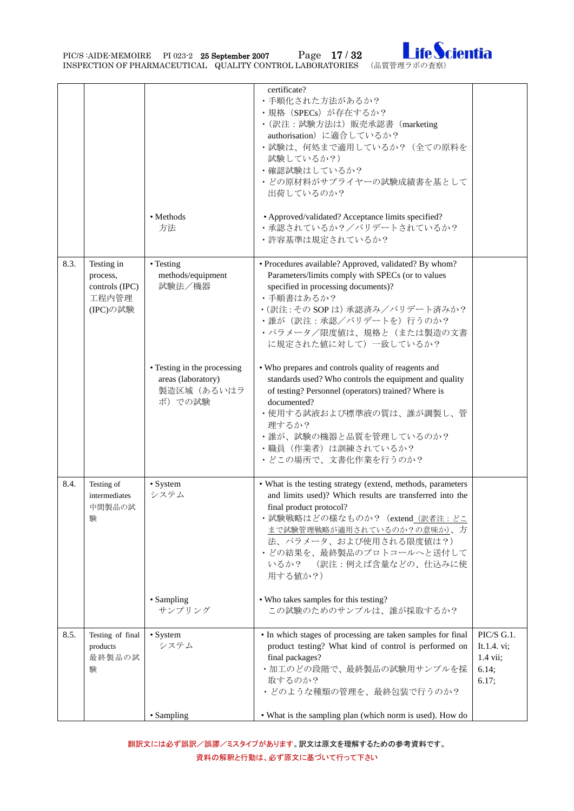PIC/S :AIDE-MEMOIRE PI 023-2 25 September 2007 Page 17 / 32 Ife Cientia



|      |                                                               |                                                                           | certificate?<br>・手順化された方法があるか?<br>· 規格 (SPECs) が存在するか?<br>・(訳注:試験方法は)販売承認書 (marketing<br>authorisation) に適合しているか?<br>•試験は、何処まで適用しているか? (全ての原料を<br>試験しているか?)<br>・確認試験はしているか?<br>• どの原材料がサプライヤーの試験成績書を基として<br>出荷しているのか?                                                                                             |                                                                   |
|------|---------------------------------------------------------------|---------------------------------------------------------------------------|-------------------------------------------------------------------------------------------------------------------------------------------------------------------------------------------------------------------------------------------------------------------------------------------------------------------|-------------------------------------------------------------------|
|      |                                                               | • Methods<br>方法                                                           | • Approved/validated? Acceptance limits specified?<br>・承認されているか?/バリデートされているか?<br>•許容基準は規定されているか?                                                                                                                                                                                                                  |                                                                   |
| 8.3. | Testing in<br>process,<br>controls (IPC)<br>工程内管理<br>(IPC)の試験 | • Testing<br>methods/equipment<br>試験法/機器                                  | · Procedures available? Approved, validated? By whom?<br>Parameters/limits comply with SPECs (or to values<br>specified in processing documents)?<br>・手順書はあるか?<br>· (訳注: その SOP は) 承認済み/バリデート済みか?<br>•誰が(訳注:承認/バリデートを)行うのか?<br>• パラメータ/限度値は、規格と(または製造の文書<br>に規定された値に対して)一致しているか?                                  |                                                                   |
|      |                                                               | • Testing in the processing<br>areas (laboratory)<br>製造区域(あるいはラ<br>ボ)での試験 | . Who prepares and controls quality of reagents and<br>standards used? Who controls the equipment and quality<br>of testing? Personnel (operators) trained? Where is<br>documented?<br>・使用する試液および標準液の質は、誰が調製し、管<br>理するか?<br>•誰が、試験の機器と品質を管理しているのか?<br>・職員 (作業者) は訓練されているか?<br>• どこの場所で、文書化作業を行うのか?                |                                                                   |
| 8.4. | Testing of<br>intermediates<br>中間製品の試<br>験                    | • System<br>システム                                                          | • What is the testing strategy (extend, methods, parameters<br>and limits used)? Which results are transferred into the<br>final product protocol?<br>・試験戦略はどの様なものか? (extend_(訳者注:どこ<br>まで試験管理戦略が適用されているのか?の意味か)、方<br>法、パラメータ、および使用される限度値は?)<br>・どの結果を、最終製品のプロトコールへと送付して<br>いるか?<br>(訳注:例えば含量などの、仕込みに使<br>用する値か?) |                                                                   |
|      |                                                               | • Sampling<br>サンプリング                                                      | • Who takes samples for this testing?<br>この試験のためのサンプルは、誰が採取するか?                                                                                                                                                                                                                                                   |                                                                   |
| 8.5. | Testing of final<br>products<br>最終製品の試<br>験                   | • System<br>システム                                                          | • In which stages of processing are taken samples for final<br>product testing? What kind of control is performed on<br>final packages?<br>・加工のどの段階で、最終製品の試験用サンプルを採<br>取するのか?<br>• どのような種類の管理を、最終包装で行うのか?                                                                                                         | PIC/S G.1.<br>It.1.4. vi;<br>$1.4 \text{ vii};$<br>6.14;<br>6.17: |
|      |                                                               | • Sampling                                                                | • What is the sampling plan (which norm is used). How do                                                                                                                                                                                                                                                          |                                                                   |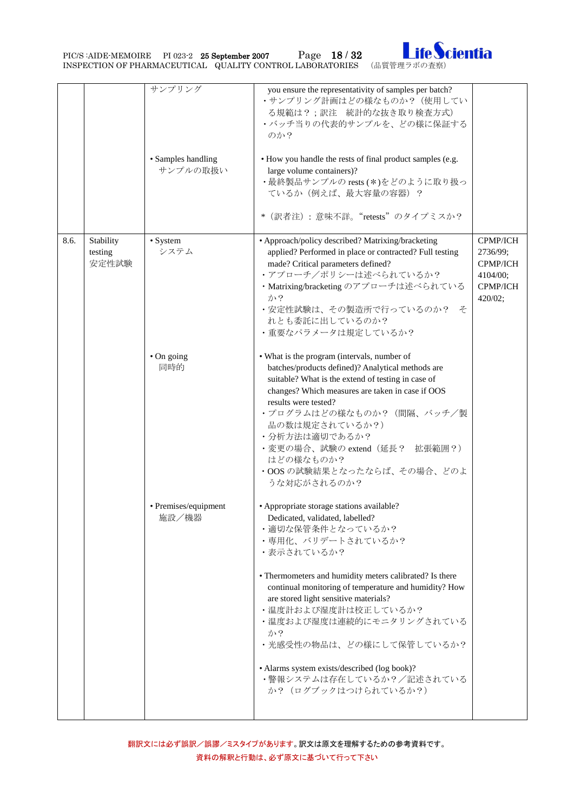PIC/S :AIDE-MEMOIRE PI 023-2 25 September 2007 Page 18 / 32 Ife Cientia



|      |                               | サンプリング<br>• Samples handling<br>サンプルの取扱い | you ensure the representativity of samples per batch?<br>•サンプリング計画はどの様なものか? (使用してい<br>る規範は?;訳注 統計的な抜き取り検査方式)<br>・バッチ当りの代表的サンプルを、どの様に保証する<br>のか?<br>• How you handle the rests of final product samples (e.g.<br>large volume containers)?<br>·最終製品サンプルの rests (*)をどのように取り扱っ<br>ているか(例えば、最大容量の容器)?<br>* (訳者注): 意味不詳。"retests"のタイプミスか?                                                                                                                                                       |                                                                                   |
|------|-------------------------------|------------------------------------------|--------------------------------------------------------------------------------------------------------------------------------------------------------------------------------------------------------------------------------------------------------------------------------------------------------------------------------------------------------------------------------------------------------------------------------------------------------------------------------------------|-----------------------------------------------------------------------------------|
| 8.6. | Stability<br>testing<br>安定性試験 | • System<br>システム                         | • Approach/policy described? Matrixing/bracketing<br>applied? Performed in place or contracted? Full testing<br>made? Critical parameters defined?<br>•アプローチ/ポリシーは述べられているか?<br>· Matrixing/bracketing のアプローチは述べられている<br>か?<br>・安定性試験は、その製造所で行っているのか? そ<br>れとも委託に出しているのか?<br>・重要なパラメータは規定しているか?                                                                                                                                                                                             | <b>CPMP/ICH</b><br>2736/99;<br><b>CPMP/ICH</b><br>4104/00:<br>CPMP/ICH<br>420/02; |
|      |                               | • On going<br>同時的                        | • What is the program (intervals, number of<br>batches/products defined)? Analytical methods are<br>suitable? What is the extend of testing in case of<br>changes? Which measures are taken in case if OOS<br>results were tested?<br>• プログラムはどの様なものか? (間隔、バッチ/製<br>品の数は規定されているか?)<br>•分析方法は適切であるか?<br>・変更の場合、試験の extend(延長? 拡張範囲?)<br>はどの様なものか?<br>·OOS の試験結果となったならば、その場合、どのよ<br>うな対応がされるのか?                                                                                              |                                                                                   |
|      |                               | • Premises/equipment<br>施設/機器            | • Appropriate storage stations available?<br>Dedicated, validated, labelled?<br>・適切な保管条件となっているか?<br>・専用化、バリデートされているか?<br>・表示されているか?<br>• Thermometers and humidity meters calibrated? Is there<br>continual monitoring of temperature and humidity? How<br>are stored light sensitive materials?<br>•温度計および湿度計は校正しているか?<br>・温度および湿度は連続的にモニタリングされている<br>か?<br>• 光感受性の物品は、どの様にして保管しているか?<br>• Alarms system exists/described (log book)?<br>•警報システムは存在しているか?/記述されている<br>か? (ログブックはつけられているか?) |                                                                                   |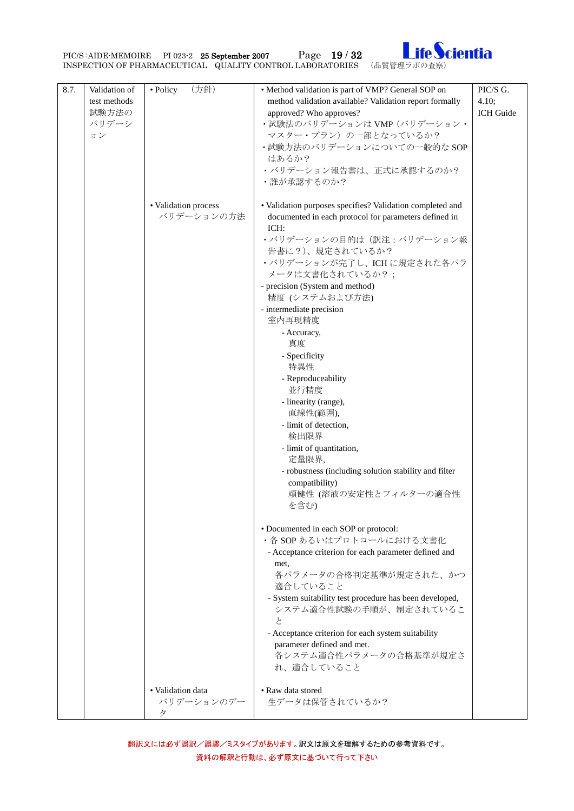

| 8.7. | Validation of<br>test methods<br>試験方法の<br>バリデーシ<br>ヨン | (方針)<br>• Policy                     | • Method validation is part of VMP? General SOP on<br>method validation available? Validation report formally<br>approved? Who approves?<br>·試験法のバリデーションは VMP (バリデーション·<br>マスター・プラン)の一部となっているか?<br>·試験方法のバリデーションについての一般的な SOP<br>はあるか?                                                                                                                                                                                                                                                                                                                                                                                 | PIC/S G.<br>4.10:<br>ICH Guide |
|------|-------------------------------------------------------|--------------------------------------|------------------------------------------------------------------------------------------------------------------------------------------------------------------------------------------------------------------------------------------------------------------------------------------------------------------------------------------------------------------------------------------------------------------------------------------------------------------------------------------------------------------------------------------------------------------------------------------------------------------------|--------------------------------|
|      |                                                       |                                      | • バリデーション報告書は、正式に承認するのか?<br>•誰が承認するのか?                                                                                                                                                                                                                                                                                                                                                                                                                                                                                                                                                                                 |                                |
|      |                                                       | • Validation process<br>バリデーションの方法   | • Validation purposes specifies? Validation completed and<br>documented in each protocol for parameters defined in<br>ICH:<br>•バリデーションの目的は (訳注:バリデーション報<br>告書に?)、規定されているか?<br>·バリデーションが完了し、ICHに規定された各パラ<br>メータは文書化されているか?;<br>- precision (System and method)<br>精度 (システムおよび方法)<br>- intermediate precision<br>室内再現精度<br>- Accuracy,<br>真度<br>- Specificity<br>特異性<br>- Reproduceability<br>並行精度<br>- linearity (range),<br>直線性(範囲),<br>- limit of detection,<br>検出限界<br>- limit of quantitation,<br>定量限界,<br>- robustness (including solution stability and filter<br>compatibility)<br>頑健性 (溶液の安定性とフィルターの適合性<br>を含む) |                                |
|      |                                                       |                                      | • Documented in each SOP or protocol:<br>·各 SOP あるいはプロトコールにおける文書化<br>- Acceptance criterion for each parameter defined and<br>met,<br>各パラメータの合格判定基準が規定された、かつ<br>適合していること<br>- System suitability test procedure has been developed,<br>システム適合性試験の手順が、制定されているこ<br>と<br>- Acceptance criterion for each system suitability<br>parameter defined and met.<br>各システム適合性パラメータの合格基準が規定さ<br>れ、適合していること                                                                                                                                                                                                                         |                                |
|      |                                                       | • Validation data<br>バリデーションのデー<br>タ | • Raw data stored<br>生データは保管されているか?                                                                                                                                                                                                                                                                                                                                                                                                                                                                                                                                                                                    |                                |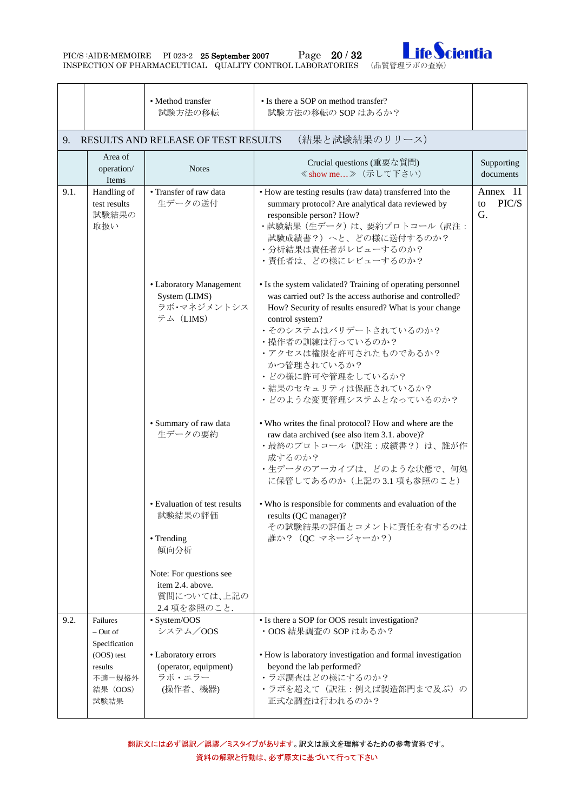PIC/S :AIDE-MEMOIRE PI 023-2 25 September 2007 Page 20 / 32 Ife Scientia



<span id="page-19-0"></span>

|      |                                                                                              | • Method transfer<br>試験方法の移転                                                                   | • Is there a SOP on method transfer?<br>試験方法の移転の SOP はあるか?                                                                                                                                                                                                                                                                                                        |                               |
|------|----------------------------------------------------------------------------------------------|------------------------------------------------------------------------------------------------|-------------------------------------------------------------------------------------------------------------------------------------------------------------------------------------------------------------------------------------------------------------------------------------------------------------------------------------------------------------------|-------------------------------|
| 9.   |                                                                                              | RESULTS AND RELEASE OF TEST RESULTS                                                            | (結果と試験結果のリリース)                                                                                                                                                                                                                                                                                                                                                    |                               |
|      | Area of<br>operation/<br>Items                                                               | <b>Notes</b>                                                                                   | Crucial questions (重要な質問)<br>≪show me > (示して下さい)                                                                                                                                                                                                                                                                                                                  | Supporting<br>documents       |
| 9.1. | Handling of<br>test results<br>試験結果の<br>取扱い                                                  | • Transfer of raw data<br>生データの送付                                                              | • How are testing results (raw data) transferred into the<br>summary protocol? Are analytical data reviewed by<br>responsible person? How?<br>•試験結果 (生データ) は、要約プロトコール (訳注:<br>試験成績書?)へと、どの様に送付するのか?<br>• 分析結果は責任者がレビューするのか?<br>・責任者は、どの様にレビューするのか?                                                                                                                | Annex 11<br>PIC/S<br>to<br>G. |
|      |                                                                                              | • Laboratory Management<br>System (LIMS)<br>ラボ・マネジメントシス<br>テム (LIMS)                           | • Is the system validated? Training of operating personnel<br>was carried out? Is the access authorise and controlled?<br>How? Security of results ensured? What is your change<br>control system?<br>•そのシステムはバリデートされているのか?<br>・操作者の訓練は行っているのか?<br>•アクセスは権限を許可されたものであるか?<br>かつ管理されているか?<br>• どの様に許可や管理をしているか?<br>•結果のセキュリティは保証されているか?<br>• どのような変更管理システムとなっているのか? |                               |
|      |                                                                                              | · Summary of raw data<br>生データの要約                                                               | • Who writes the final protocol? How and where are the<br>raw data archived (see also item 3.1. above)?<br>・最終のプロトコール (訳注:成績書?)は、誰が作<br>成するのか?<br>・生データのアーカイブは、どのような状態で、何処<br>に保管してあるのか(上記の3.1 項も参照のこと)                                                                                                                                                           |                               |
|      |                                                                                              | • Evaluation of test results<br>試験結果の評価<br>• Trending<br>傾向分析                                  | • Who is responsible for comments and evaluation of the<br>results (QC manager)?<br>その試験結果の評価とコメントに責任を有するのは<br>誰か? (QC マネージャーか?)                                                                                                                                                                                                                                  |                               |
|      |                                                                                              | Note: For questions see<br>item 2.4. above.<br>質問については、上記の<br>2.4 項を参照のこと.                     |                                                                                                                                                                                                                                                                                                                                                                   |                               |
| 9.2. | Failures<br>– Out of<br>Specification<br>(OOS) test<br>results<br>不適-規格外<br>結果 (OOS)<br>試験結果 | • System/OOS<br>システム/OOS<br>• Laboratory errors<br>(operator, equipment)<br>ラボ・エラー<br>(操作者、機器) | • Is there a SOP for OOS result investigation?<br>·OOS 結果調査の SOP はあるか?<br>• How is laboratory investigation and formal investigation<br>beyond the lab performed?<br>•ラボ調査はどの様にするのか?<br>•ラボを超えて(訳注:例えば製造部門まで及ぶ)の<br>正式な調査は行われるのか?                                                                                                                                 |                               |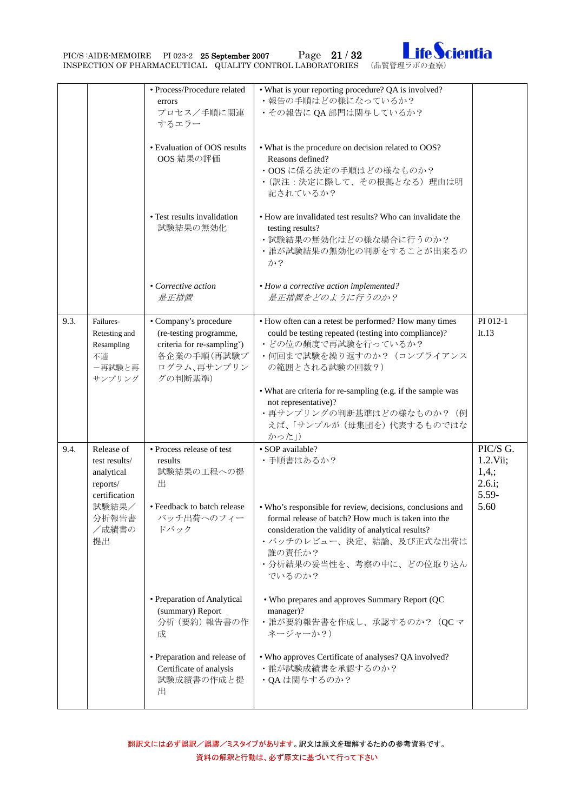PIC/S :AIDE-MEMOIRE PI 023-2 25 September 2007 Page 21 / 32 Ife Cientia



|      |                                                                                                         | · Process/Procedure related<br>errors<br>プロセス/手順に関連<br>するエラー<br>• Evaluation of OOS results<br>OOS 結果の評価<br>• Test results invalidation             | • What is your reporting procedure? QA is involved?<br>•報告の手順はどの様になっているか?<br>·その報告に QA 部門は関与しているか?<br>• What is the procedure on decision related to OOS?<br>Reasons defined?<br>·OOSに係る決定の手順はどの様なものか?<br>• (訳注:決定に際して、その根拠となる)理由は明<br>記されているか?<br>• How are invalidated test results? Who can invalidate the                                |                                                         |
|------|---------------------------------------------------------------------------------------------------------|-----------------------------------------------------------------------------------------------------------------------------------------------------|----------------------------------------------------------------------------------------------------------------------------------------------------------------------------------------------------------------------------------------------------------------------------------------------------------------------------------------------|---------------------------------------------------------|
|      |                                                                                                         | 試験結果の無効化<br>• Corrective action<br>是正措置                                                                                                             | testing results?<br>• 試験結果の無効化はどの様な場合に行うのか?<br>•誰が試験結果の無効化の判断をすることが出来るの<br>か?<br>• How a corrective action implemented?<br>是正措置をどのように行うのか?                                                                                                                                                                                                   |                                                         |
| 9.3. | Failures-<br>Retesting and<br>Resampling<br>不適<br>ー再試験と再<br>サンプリング                                      | • Company's procedure<br>(re-testing programme,<br>criteria for re-sampling")<br>各企業の手順 (再試験プ<br>ログラム、再サンプリン<br>グの判断基準)                             | • How often can a retest be performed? How many times<br>could be testing repeated (testing into compliance)?<br>・どの位の頻度で再試験を行っているか?<br>•何回まで試験を繰り返すのか? (コンプライアンス<br>の範囲とされる試験の回数?)<br>• What are criteria for re-sampling (e.g. if the sample was<br>not representative)?<br>•再サンプリングの判断基準はどの様なものか? (例<br>えば、「サンプルが(母集団を)代表するものではな<br>かった」) | PI 012-1<br>It.13                                       |
| 9.4. | Release of<br>test results/<br>analytical<br>reports/<br>certification<br>試験結果/<br>分析報告書<br>/成績書の<br>提出 | • Process release of test<br>results<br>試験結果の工程への提<br>出<br>• Feedback to batch release<br>バッチ出荷へのフィー<br>ドバック                                        | · SOP available?<br>・手順書はあるか?<br>• Who's responsible for review, decisions, conclusions and<br>formal release of batch? How much is taken into the<br>consideration the validity of analytical results?<br>• バッチのレビュー、決定、結論、及び正式な出荷は<br>誰の責任か?<br>・分析結果の妥当性を、考察の中に、どの位取り込ん<br>でいるのか?                                                         | PIC/S G.<br>1.2.Vii;<br>1,4;<br>2.6.i;<br>5.59-<br>5.60 |
|      |                                                                                                         | • Preparation of Analytical<br>(summary) Report<br>分析 (要約) 報告書の作<br>成<br>• Preparation and release of<br>Certificate of analysis<br>試験成績書の作成と提<br>出 | . Who prepares and approves Summary Report (QC<br>manager)?<br>·誰が要約報告書を作成し、承認するのか? (QC マ<br>ネージャーか?)<br>. Who approves Certificate of analyses? QA involved?<br>•誰が試験成績書を承認するのか?<br>·QAは関与するのか?                                                                                                                                             |                                                         |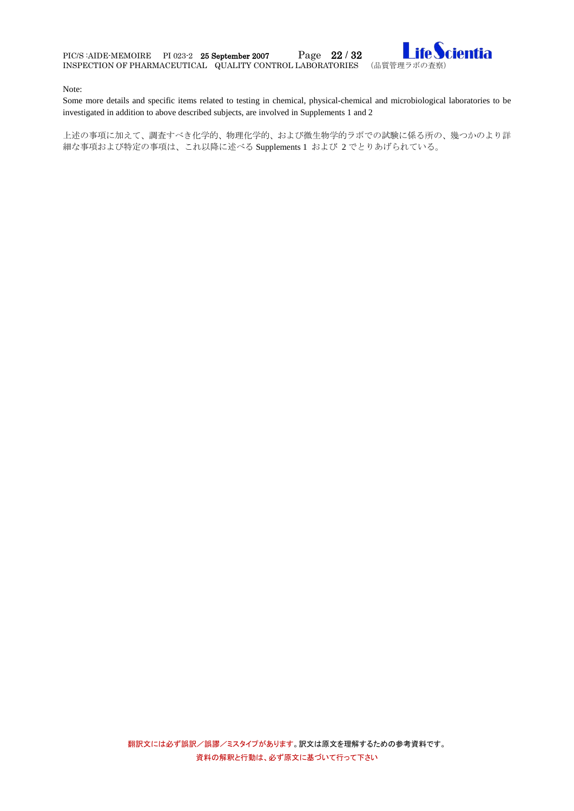

#### Note:

Some more details and specific items related to testing in chemical, physical-chemical and microbiological laboratories to be investigated in addition to above described subjects, are involved in Supplements 1 and 2

上述の事項に加えて、調査すべき化学的、物理化学的、および微生物学的ラボでの試験に係る所の、幾つかのより詳 細な事項および特定の事項は、これ以降に述べる Supplements 1 および 2 でとりあげられている。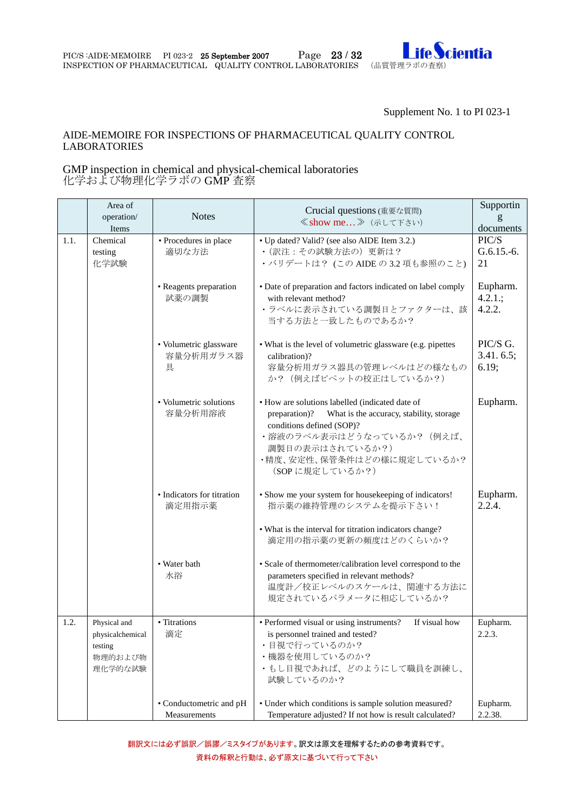

Supplement No. 1 to PI 023-1

#### AIDE-MEMOIRE FOR INSPECTIONS OF PHARMACEUTICAL QUALITY CONTROL LABORATORIES

#### <span id="page-22-0"></span>GMP inspection in chemical and physical-chemical laboratories 化学および物理化学ラボの GMP 査察

|      | Area of<br>operation/<br>Items                                    | <b>Notes</b>                             | Crucial questions (重要な質問)<br>≪show me 》 (示して下さい)                                                                                                                                                                                          | Supportin<br>g<br>documents      |
|------|-------------------------------------------------------------------|------------------------------------------|-------------------------------------------------------------------------------------------------------------------------------------------------------------------------------------------------------------------------------------------|----------------------------------|
| 1.1. | Chemical<br>testing<br>化学試験                                       | · Procedures in place<br>適切な方法           | • Up dated? Valid? (see also AIDE Item 3.2.)<br>• (訳注:その試験方法の)更新は?<br>·バリデートは? (この AIDE の 3.2 項も参照のこと)                                                                                                                                    | PIC/S<br>$G.6.15.-6.$<br>21      |
|      |                                                                   | • Reagents preparation<br>試薬の調製          | • Date of preparation and factors indicated on label comply<br>with relevant method?<br>・ラベルに表示されている調製日とファクターは、該<br>当する方法と一致したものであるか?                                                                                                     | Eupharm.<br>$4.2.1$ .;<br>4.2.2. |
|      |                                                                   | · Volumetric glassware<br>容量分析用ガラス器<br>具 | • What is the level of volumetric glassware (e.g. pipettes<br>calibration)?<br>容量分析用ガラス器具の管理レベルはどの様なもの<br>か? (例えばピペットの校正はしているか?)                                                                                                          | PIC/S G.<br>3.41.6.5;<br>6.19;   |
|      |                                                                   | • Volumetric solutions<br>容量分析用溶液        | • How are solutions labelled (indicated date of<br>preparation)?<br>What is the accuracy, stability, storage<br>conditions defined (SOP)?<br>• 溶液のラベル表示はどうなっているか? (例えば、<br>調製日の表示はされているか?)<br>・精度、安定性、保管条件はどの様に規定しているか?<br>(SOPに規定しているか?) | Eupharm.                         |
|      |                                                                   | • Indicators for titration<br>滴定用指示薬     | • Show me your system for housekeeping of indicators!<br>指示薬の維持管理のシステムを提示下さい!<br>• What is the interval for titration indicators change?<br>滴定用の指示薬の更新の頻度はどのくらいか?                                                                         | Eupharm.<br>2.2.4.               |
|      |                                                                   | • Water bath<br>水浴                       | · Scale of thermometer/calibration level correspond to the<br>parameters specified in relevant methods?<br>温度計/校正レベルのスケールは、関連する方法に<br>規定されているパラメータに相応しているか?                                                                               |                                  |
| 1.2. | Physical and<br>physicalchemical<br>testing<br>物理的および物<br>理化学的な試験 | • Titrations<br>滴定                       | If visual how<br>• Performed visual or using instruments?<br>is personnel trained and tested?<br>• 目視で行っているのか?<br>・機器を使用しているのか?<br>・もし目視であれば、どのようにして職員を訓練し、<br>試験しているのか?                                                                  | Eupharm.<br>2.2.3.               |
|      |                                                                   | • Conductometric and pH<br>Measurements  | • Under which conditions is sample solution measured?<br>Temperature adjusted? If not how is result calculated?                                                                                                                           | Eupharm.<br>2.2.38.              |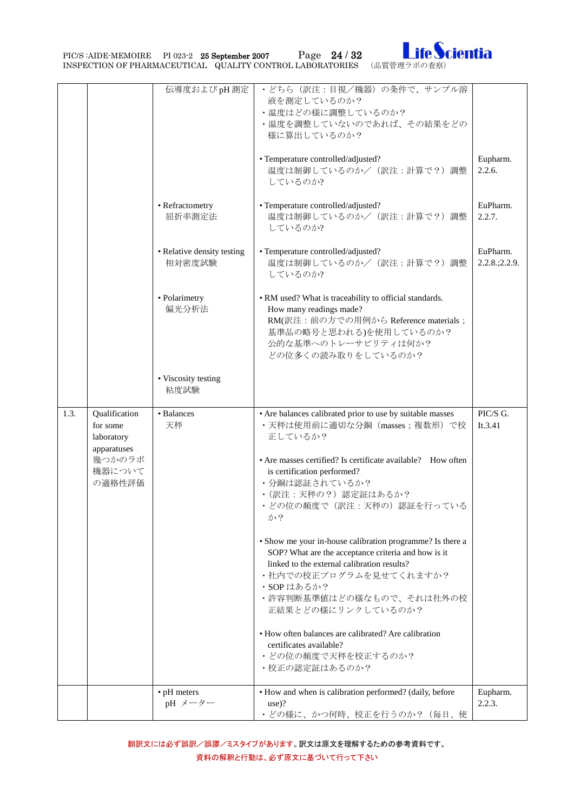PIC/S :AIDE-MEMOIRE PI 023-2 25 September 2007 Page 24 / 32 Ife Cientia



|      |                                                                                      | 伝導度およびpH測定<br>• Refractometry<br>屈折率測定法<br>• Relative density testing<br>相対密度試験<br>• Polarimetry<br>偏光分析法<br>• Viscosity testing<br>粘度試験 | • どちら (訳注:目視/機器)の条件で、サンプル溶<br>液を測定しているのか?<br>•温度はどの様に調整しているのか?<br>・温度を調整していないのであれば、その結果をどの<br>様に算出しているのか?<br>• Temperature controlled/adjusted?<br>温度は制御しているのか/ (訳注:計算で?)調整<br>しているのか?<br>• Temperature controlled/adjusted?<br>温度は制御しているのか/ (訳注:計算で?)調整<br>しているのか?<br>• Temperature controlled/adjusted?<br>温度は制御しているのか/ (訳注:計算で?)調整<br>しているのか?<br>• RM used? What is traceability to official standards.<br>How many readings made?<br>RM(訳注:前の方での用例から Reference materials;<br>基準品の略号と思われる)を使用しているのか?<br>公的な基準へのトレーサビリティは何か?<br>どの位多くの読み取りをしているのか?                                                                                                                    | Eupharm.<br>2.2.6.<br>EuPharm.<br>2.2.7.<br>EuPharm.<br>$2.2.8$ ; $2.2.9$ . |
|------|--------------------------------------------------------------------------------------|------------------------------------------------------------------------------------------------------------------------------------------|-------------------------------------------------------------------------------------------------------------------------------------------------------------------------------------------------------------------------------------------------------------------------------------------------------------------------------------------------------------------------------------------------------------------------------------------------------------------------------------------------------------------------------------------------------------------------------------------------------------------------------------------------------------------------|-----------------------------------------------------------------------------|
| 1.3. | Qualification<br>for some<br>laboratory<br>apparatuses<br>幾つかのラボ<br>機器について<br>の適格性評価 | • Balances<br>天秤                                                                                                                         | • Are balances calibrated prior to use by suitable masses<br>·天秤は使用前に適切な分銅 (masses; 複数形) で校<br>正しているか?<br>• Are masses certified? Is certificate available? How often<br>is certification performed?<br>・分銅は認証されているか?<br>• (訳注:天秤の?)認定証はあるか?<br>• どの位の頻度で (訳注:天秤の)認証を行っている<br>か?<br>• Show me your in-house calibration programme? Is there a<br>SOP? What are the acceptance criteria and how is it<br>linked to the external calibration results?<br>•社内での校正プログラムを見せてくれますか?<br>・SOPはあるか?<br>・許容判断基準値はどの様なもので、それは社外の校<br>正結果とどの様にリンクしているのか?<br>• How often balances are calibrated? Are calibration<br>certificates available?<br>• どの位の頻度で天秤を校正するのか?<br>•校正の認定証はあるのか? | PIC/S G.<br>It.3.41                                                         |
|      |                                                                                      | $\bullet$ pH meters<br>pH メーター                                                                                                           | • How and when is calibration performed? (daily, before<br>$use)$ ?<br>• どの様に、かつ何時、校正を行うのか? (毎日、使                                                                                                                                                                                                                                                                                                                                                                                                                                                                                                                                                                       | Eupharm.<br>2.2.3.                                                          |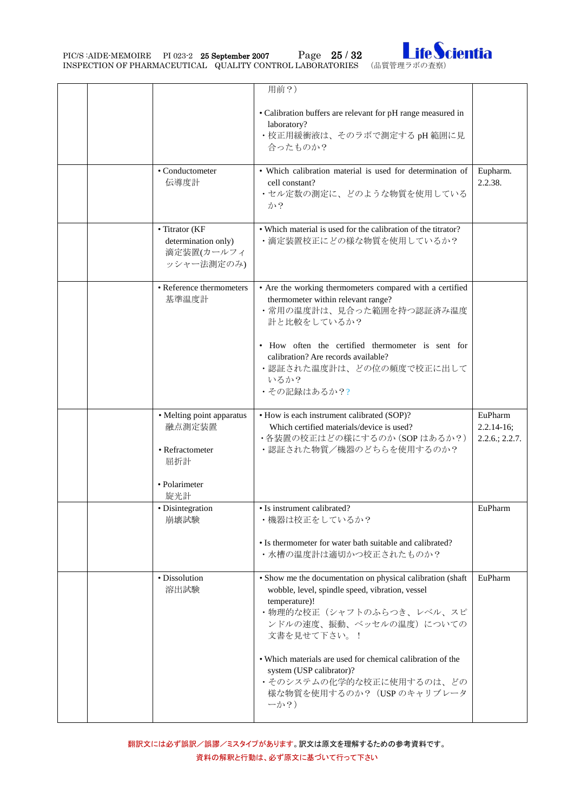PIC/S :AIDE-MEMOIRE PI 023-2 25 September 2007 Page 25 / 32 Ife Cientia



|  |                                                                   | 用前?)<br>• Calibration buffers are relevant for pH range measured in                                                                                                                                  |                                                  |
|--|-------------------------------------------------------------------|------------------------------------------------------------------------------------------------------------------------------------------------------------------------------------------------------|--------------------------------------------------|
|  |                                                                   | laboratory?<br>·校正用緩衝液は、そのラボで測定する pH 範囲に見<br>合ったものか?                                                                                                                                                 |                                                  |
|  | • Conductometer<br>伝導度計                                           | • Which calibration material is used for determination of<br>cell constant?<br>・セル定数の測定に、どのような物質を使用している<br>か?                                                                                        | Eupharm.<br>2.2.38.                              |
|  | • Titrator (KF<br>determination only)<br>滴定装置(カールフィ<br>ッシャー法測定のみ) | • Which material is used for the calibration of the titrator?<br>•滴定装置校正にどの様な物質を使用しているか?                                                                                                             |                                                  |
|  | • Reference thermometers<br>基準温度計                                 | • Are the working thermometers compared with a certified<br>thermometer within relevant range?<br>・常用の温度計は、見合った範囲を持つ認証済み温度<br>計と比較をしているか?                                                            |                                                  |
|  |                                                                   | • How often the certified thermometer is sent for<br>calibration? Are records available?<br>・認証された温度計は、どの位の頻度で校正に出して<br>いるか?<br>•その記録はあるか??                                                          |                                                  |
|  | • Melting point apparatus<br>融点測定装置<br>• Refractometer<br>屈折計     | • How is each instrument calibrated (SOP)?<br>Which certified materials/device is used?<br>・各装置の校正はどの様にするのか (SOPはあるか?)<br>・認証された物質/機器のどちらを使用するのか?                                                    | EuPharm<br>$2.2.14 - 16;$<br>$2.2.6$ ; $2.2.7$ . |
|  | • Polarimeter<br>旋光計                                              |                                                                                                                                                                                                      |                                                  |
|  | · Disintegration<br>崩壊試験                                          | • Is instrument calibrated?<br>・機器は校正をしているか?<br>• Is thermometer for water bath suitable and calibrated?<br>•水槽の温度計は適切かつ校正されたものか?                                                                    | EuPharm                                          |
|  | • Dissolution<br>溶出試験                                             | • Show me the documentation on physical calibration (shaft<br>wobble, level, spindle speed, vibration, vessel<br>temperature)!<br>•物理的な校正(シャフトのふらつき、レベル、スピ<br>ンドルの速度、振動、ベッセルの温度)についての<br>文書を見せて下さい。! | EuPharm                                          |
|  |                                                                   | • Which materials are used for chemical calibration of the<br>system (USP calibrator)?<br>・そのシステムの化学的な校正に使用するのは、どの<br>様な物質を使用するのか?(USP のキャリブレータ<br>$-\gamma$ ?)                                      |                                                  |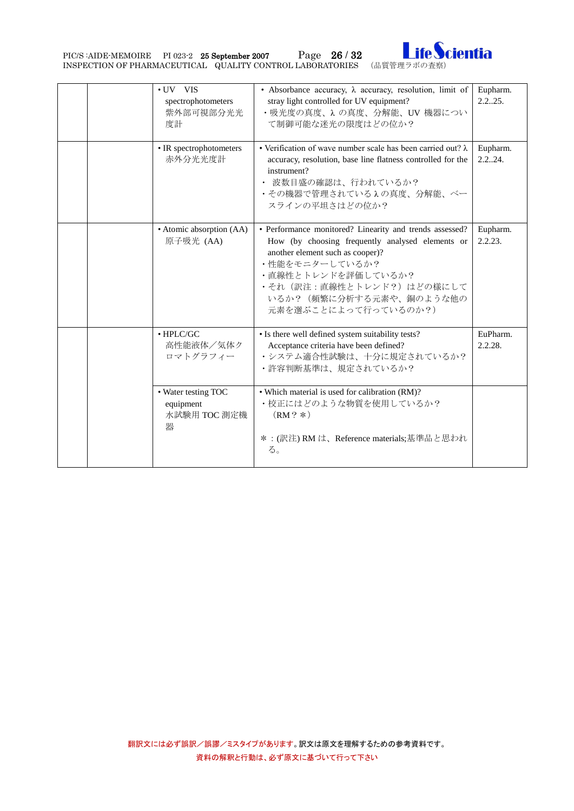PIC/S :AIDE-MEMOIRE PI 023-2 25 September 2007 Page 26 / 32 Ife Cientia



|  | • UV VIS<br>spectrophotometers<br>紫外部可視部分光光<br>度計     | • Absorbance accuracy, $\lambda$ accuracy, resolution, limit of<br>stray light controlled for UV equipment?<br>・吸光度の真度、λの真度、分解能、UV 機器につい<br>て制御可能な迷光の限度はどの位か?                                                                                                           | Eupharm.<br>2.225.  |
|--|-------------------------------------------------------|-------------------------------------------------------------------------------------------------------------------------------------------------------------------------------------------------------------------------------------------------------------------------|---------------------|
|  | • IR spectrophotometers<br>赤外分光光度計                    | • Verification of wave number scale has been carried out? $\lambda$<br>accuracy, resolution, base line flatness controlled for the<br>instrument?<br>• 波数目盛の確認は、行われているか?<br>・その機器で管理されているんの真度、分解能、ベー<br>スラインの平坦さはどの位か?                                                  | Eupharm.<br>2.224.  |
|  | • Atomic absorption (AA)<br>原子吸光 (AA)                 | · Performance monitored? Linearity and trends assessed?<br>How (by choosing frequently analysed elements or<br>another element such as cooper)?<br>・性能をモニターしているか?<br>・直線性とトレンドを評価しているか?<br>・それ(訳注:直線性とトレンド?)はどの様にして<br>いるか? (頻繁に分析する元素や、銅のような他の<br>元素を選ぶことによって行っているのか?) | Eupharm.<br>2.2.23. |
|  | $\bullet$ HPLC/GC<br>高性能液体/気体ク<br>ロマトグラフィー            | • Is there well defined system suitability tests?<br>Acceptance criteria have been defined?<br>•システム適合性試験は、十分に規定されているか?<br>•許容判断基準は、規定されているか?                                                                                                                           | EuPharm.<br>2.2.28. |
|  | • Water testing TOC<br>equipment<br>水試験用 TOC 測定機<br>器 | • Which material is used for calibration (RM)?<br>・校正にはどのような物質を使用しているか?<br>$(RM ? * )$<br>*: (訳注) RM は、Reference materials;基準品と思われ                                                                                                                                      |                     |
|  |                                                       | る。                                                                                                                                                                                                                                                                      |                     |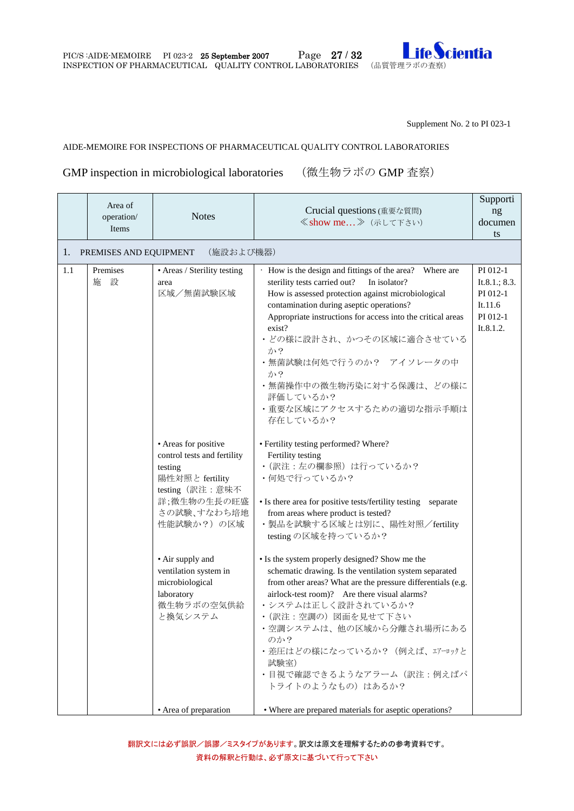

Supplement No. 2 to PI 023-1

#### AIDE-MEMOIRE FOR INSPECTIONS OF PHARMACEUTICAL QUALITY CONTROL LABORATORIES

## <span id="page-26-0"></span>GMP inspection in microbiological laboratories (微生物ラボの GMP 査察)

|     | Area of<br>operation/  | <b>Notes</b>                                                                                                                                                                                                                                            | Crucial questions (重要な質問)                                                                                                                                                                                                                                                                                                                                                                                                                                                                                                                                                                                                                                                         | Supporti<br>ng                                                            |
|-----|------------------------|---------------------------------------------------------------------------------------------------------------------------------------------------------------------------------------------------------------------------------------------------------|-----------------------------------------------------------------------------------------------------------------------------------------------------------------------------------------------------------------------------------------------------------------------------------------------------------------------------------------------------------------------------------------------------------------------------------------------------------------------------------------------------------------------------------------------------------------------------------------------------------------------------------------------------------------------------------|---------------------------------------------------------------------------|
|     | Items                  |                                                                                                                                                                                                                                                         | ≪show me 》 (示して下さい)                                                                                                                                                                                                                                                                                                                                                                                                                                                                                                                                                                                                                                                               | documen                                                                   |
|     |                        |                                                                                                                                                                                                                                                         |                                                                                                                                                                                                                                                                                                                                                                                                                                                                                                                                                                                                                                                                                   | ts                                                                        |
| 1.  | PREMISES AND EQUIPMENT | (施設および機器)                                                                                                                                                                                                                                               |                                                                                                                                                                                                                                                                                                                                                                                                                                                                                                                                                                                                                                                                                   |                                                                           |
| 1.1 | Premises<br>設<br>施     | • Areas / Sterility testing<br>area<br>区域/無菌試験区域                                                                                                                                                                                                        | · How is the design and fittings of the area? Where are<br>sterility tests carried out?<br>In isolator?<br>How is assessed protection against microbiological<br>contamination during aseptic operations?<br>Appropriate instructions for access into the critical areas<br>exist?<br>・どの様に設計され、かつその区域に適合させている<br>か?<br>・無菌試験は何処で行うのか? アイソレータの中<br>か?<br>・無菌操作中の微生物汚染に対する保護は、どの様に<br>評価しているか?<br>・重要な区域にアクセスするための適切な指示手順は                                                                                                                                                                                                                                                         | PI 012-1<br>It.8.1.; 8.3.<br>PI 012-1<br>It.11.6<br>PI 012-1<br>It.8.1.2. |
|     |                        | • Areas for positive<br>control tests and fertility<br>testing<br>陽性対照と fertility<br>testing (訳注:意味不<br>詳;微生物の生長の旺盛<br>さの試験、すなわち培地<br>性能試験か?)の区域<br>• Air supply and<br>ventilation system in<br>microbiological<br>laboratory<br>微生物ラボの空気供給<br>と換気システム | 存在しているか?<br>• Fertility testing performed? Where?<br>Fertility testing<br>•(訳注:左の欄参照)は行っているか?<br>•何処で行っているか?<br>• Is there area for positive tests/fertility testing separate<br>from areas where product is tested?<br>· 製品を試験する区域とは別に、陽性対照/fertility<br>testing の区域を持っているか?<br>• Is the system properly designed? Show me the<br>schematic drawing. Is the ventilation system separated<br>from other areas? What are the pressure differentials (e.g.<br>airlock-test room)? Are there visual alarms?<br>•システムは正しく設計されているか?<br>・(訳注:空調の)図面を見せて下さい<br>・空調システムは、他の区域から分離され場所にある<br>のか?<br>・差圧はどの様になっているか? (例えば、エアーロックと<br>試験室)<br>• 目視で確認できるようなアラーム (訳注:例えばパ<br>トライトのようなもの)はあるか? |                                                                           |
|     |                        | • Area of preparation                                                                                                                                                                                                                                   | • Where are prepared materials for aseptic operations?                                                                                                                                                                                                                                                                                                                                                                                                                                                                                                                                                                                                                            |                                                                           |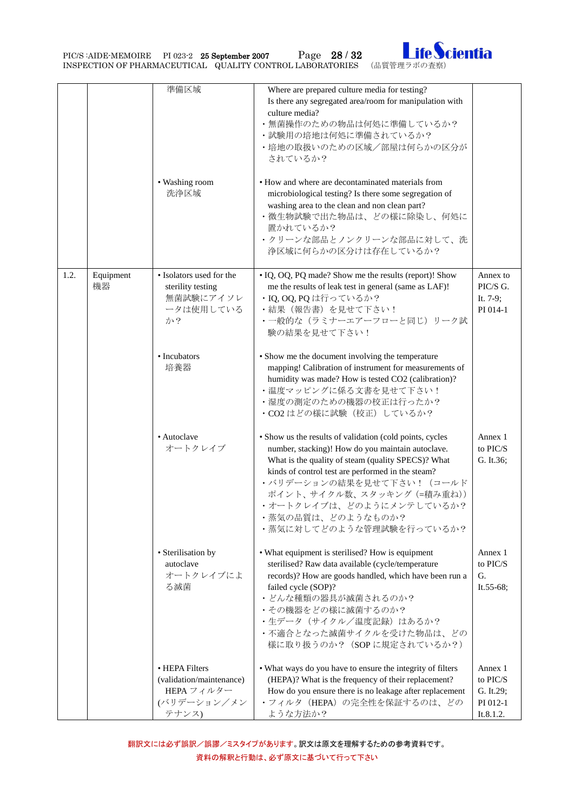PIC/S :AIDE-MEMOIRE PI 023-2 25 September 2007 Page 28 / 32 Ife Cientia



|      |                 | 準備区域<br>• Washing room<br>洗浄区域                                                   | Where are prepared culture media for testing?<br>Is there any segregated area/room for manipulation with<br>culture media?<br>•無菌操作のための物品は何処に準備しているか?<br>•試験用の培地は何処に準備されているか?<br>•培地の取扱いのための区域/部屋は何らかの区分が<br>されているか?<br>• How and where are decontaminated materials from<br>microbiological testing? Is there some segregation of<br>washing area to the clean and non clean part? |                                                           |
|------|-----------------|----------------------------------------------------------------------------------|-------------------------------------------------------------------------------------------------------------------------------------------------------------------------------------------------------------------------------------------------------------------------------------------------------------------------------------------------------------------------------------|-----------------------------------------------------------|
|      |                 |                                                                                  | • 微生物試験で出た物品は、どの様に除染し、何処に<br>置かれているか?<br>•クリーンな部品とノンクリーンな部品に対して、洗<br>浄区域に何らかの区分けは存在しているか?                                                                                                                                                                                                                                                                                           |                                                           |
| 1.2. | Equipment<br>機器 | • Isolators used for the<br>sterility testing<br>無菌試験にアイソレ<br>ータは使用している<br>か?    | • IQ, OQ, PQ made? Show me the results (report)! Show<br>me the results of leak test in general (same as LAF)!<br>· IQ, OQ, PQ は行っているか?<br>・結果 (報告書) を見せて下さい!<br>•一般的な(ラミナーエアーフローと同じ)リーク試<br>験の結果を見せて下さい!                                                                                                                                                                           | Annex to<br>PIC/S G.<br>It. 7-9;<br>PI 014-1              |
|      |                 | • Incubators<br>培養器                                                              | • Show me the document involving the temperature<br>mapping! Calibration of instrument for measurements of<br>humidity was made? How is tested CO2 (calibration)?<br>•温度マッピングに係る文書を見せて下さい!<br>•湿度の測定のための機器の校正は行ったか?<br>· CO2 はどの様に試験 (校正) しているか?                                                                                                                                    |                                                           |
|      |                 | • Autoclave<br>オートクレイブ                                                           | • Show us the results of validation (cold points, cycles<br>number, stacking)! How do you maintain autoclave.<br>What is the quality of steam (quality SPECS)? What<br>kinds of control test are performed in the steam?<br>•バリデーションの結果を見せて下さい! (コールド<br>ポイント、サイクル数、スタッキング (=積み重ね))<br>・オートクレイブは、どのようにメンテしているか?<br>•蒸気の品質は、どのようなものか?<br>・蒸気に対してどのような管理試験を行っているか?                    | Annex 1<br>to PIC/S<br>G. It.36;                          |
|      |                 | • Sterilisation by<br>autoclave<br>オートクレイブによ<br>る滅菌                              | • What equipment is sterilised? How is equipment<br>sterilised? Raw data available (cycle/temperature<br>records)? How are goods handled, which have been run a<br>failed cycle (SOP)?<br>• どんな種類の器具が滅菌されるのか?<br>• その機器をどの様に滅菌するのか?<br>・生データ (サイクル/温度記録) はあるか?<br>・不適合となった滅菌サイクルを受けた物品は、どの<br>様に取り扱うのか? (SOPに規定されているか?)                                                             | Annex 1<br>to PIC/S<br>G.<br>It.55-68;                    |
|      |                 | • HEPA Filters<br>(validation/maintenance)<br>HEPA フィルター<br>(バリデーション/メン<br>テナンス) | • What ways do you have to ensure the integrity of filters<br>(HEPA)? What is the frequency of their replacement?<br>How do you ensure there is no leakage after replacement<br>・フィルタ (HEPA) の完全性を保証するのは、どの<br>ような方法か?                                                                                                                                                              | Annex 1<br>to PIC/S<br>G. It.29;<br>PI 012-1<br>It.8.1.2. |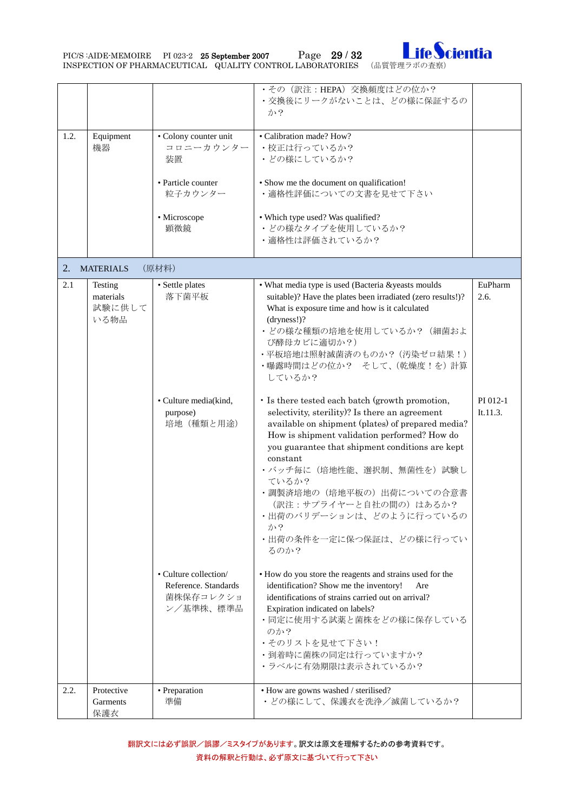PIC/S :AIDE-MEMOIRE PI 023-2 25 September 2007 Page 29 / 32 Ife Cientia



|      |                                        |                                                                         | ·その(訳注: HEPA) 交換頻度はどの位か?<br>・交換後にリークがないことは、どの様に保証するの<br>か?                                                                                                                                                                                                                                                                                                                                                                                |                      |
|------|----------------------------------------|-------------------------------------------------------------------------|-------------------------------------------------------------------------------------------------------------------------------------------------------------------------------------------------------------------------------------------------------------------------------------------------------------------------------------------------------------------------------------------------------------------------------------------|----------------------|
| 1.2. | Equipment<br>機器                        | • Colony counter unit<br>コロニーカウンター<br>装置                                | · Calibration made? How?<br>・校正は行っているか?<br>• どの様にしているか?                                                                                                                                                                                                                                                                                                                                                                                   |                      |
|      |                                        | • Particle counter<br>粒子カウンター                                           | • Show me the document on qualification!<br>・適格性評価についての文書を見せて下さい                                                                                                                                                                                                                                                                                                                                                                          |                      |
|      |                                        | · Microscope<br>顕微鏡                                                     | • Which type used? Was qualified?<br>• どの様なタイプを使用しているか?<br>・適格性は評価されているか?                                                                                                                                                                                                                                                                                                                                                                 |                      |
| 2.   | <b>MATERIALS</b>                       | (原材料)                                                                   |                                                                                                                                                                                                                                                                                                                                                                                                                                           |                      |
| 2.1  | Testing<br>materials<br>試験に供して<br>いる物品 | • Settle plates<br>落下菌平板                                                | • What media type is used (Bacteria &yeasts moulds<br>suitable)? Have the plates been irradiated (zero results!)?<br>What is exposure time and how is it calculated<br>(dryness!)?<br>• どの様な種類の培地を使用しているか? (細菌およ<br>び酵母カビに適切か?)<br>・平板培地は照射滅菌済のものか? (汚染ゼロ結果!)<br>・曝露時間はどの位か? そして、(乾燥度!を)計算<br>しているか?                                                                                                                                      | EuPharm<br>2.6.      |
|      |                                        | • Culture media(kind,<br>purpose)<br>培地 (種類と用途)                         | · Is there tested each batch (growth promotion,<br>selectivity, sterility)? Is there an agreement<br>available on shipment (plates) of prepared media?<br>How is shipment validation performed? How do<br>you guarantee that shipment conditions are kept<br>constant<br>• バッチ毎に(培地性能、選択制、無菌性を)試験し<br>ているか?<br>•調製済培地の (培地平板の) 出荷についての合意書<br>(訳注:サプライヤーと自社の間の)はあるか?<br>・出荷のバリデーションは、どのように行っているの<br>か?<br>・出荷の条件を一定に保つ保証は、どの様に行ってい<br>るのか? | PI 012-1<br>It.11.3. |
|      |                                        | • Culture collection/<br>Reference. Standards<br>菌株保存コレクショ<br>ン/基準株、標準品 | • How do you store the reagents and strains used for the<br>identification? Show me the inventory!<br>Are<br>identifications of strains carried out on arrival?<br>Expiration indicated on labels?<br>・同定に使用する試薬と菌株をどの様に保存している<br>のか?<br>•そのリストを見せて下さい!<br>•到着時に菌株の同定は行っていますか?<br>・ラベルに有効期限は表示されているか?                                                                                                                                     |                      |
| 2.2. | Protective<br>Garments<br>保護衣          | · Preparation<br>準備                                                     | • How are gowns washed / sterilised?<br>• どの様にして、保護衣を洗浄/滅菌しているか?                                                                                                                                                                                                                                                                                                                                                                          |                      |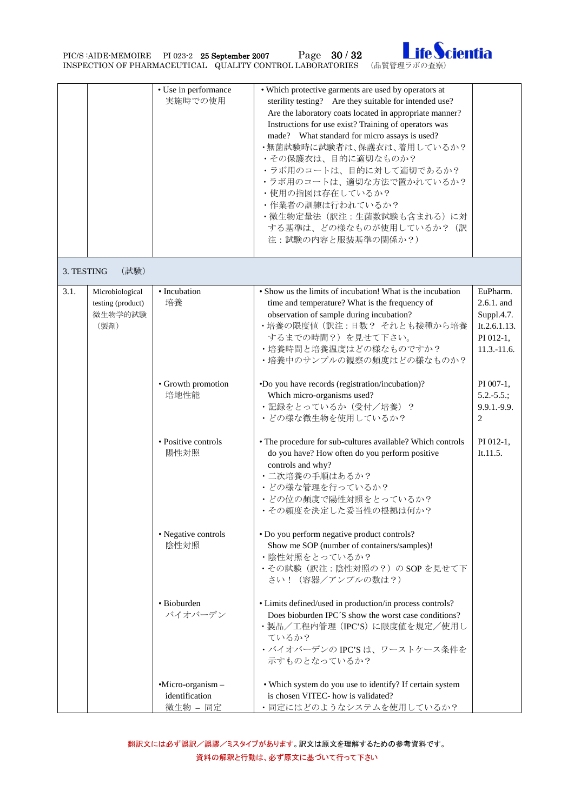PIC/S :AIDE-MEMOIRE PI 023-2 25 September 2007 Page 30 / 32 Ife Cientia



|            |                                                         | • Use in performance<br>実施時での使用                   | • Which protective garments are used by operators at<br>sterility testing? Are they suitable for intended use?<br>Are the laboratory coats located in appropriate manner?<br>Instructions for use exist? Training of operators was<br>made? What standard for micro assays is used?<br>・無菌試験時に試験者は、保護衣は、着用しているか?<br>• その保護衣は、目的に適切なものか?<br>•ラボ用のコートは、目的に対して適切であるか?<br>•ラボ用のコートは、適切な方法で置かれているか?<br>•使用の指図は存在しているか?<br>・作業者の訓練は行われているか?<br>•微生物定量法 (訳注:生菌数試験も含まれる) に対<br>する基準は、どの様なものが使用しているか? (訳<br>注:試験の内容と服装基準の関係か?) |                                                                                    |
|------------|---------------------------------------------------------|---------------------------------------------------|-----------------------------------------------------------------------------------------------------------------------------------------------------------------------------------------------------------------------------------------------------------------------------------------------------------------------------------------------------------------------------------------------------------------------------------------------------------------------------------------------------------------------|------------------------------------------------------------------------------------|
| 3. TESTING | (試験)                                                    |                                                   |                                                                                                                                                                                                                                                                                                                                                                                                                                                                                                                       |                                                                                    |
| 3.1.       | Microbiological<br>testing (product)<br>微生物学的試験<br>(製剤) | • Incubation<br>培養                                | • Show us the limits of incubation! What is the incubation<br>time and temperature? What is the frequency of<br>observation of sample during incubation?<br>・培養の限度値 (訳注:日数? それとも接種から培養<br>するまでの時間?)を見せて下さい。<br>•培養時間と培養温度はどの様なものですか?<br>•培養中のサンプルの観察の頻度はどの様なものか?                                                                                                                                                                                                                                                      | EuPharm.<br>2.6.1. and<br>Suppl.4.7.<br>It.2.6.1.13.<br>PI 012-1,<br>$11.3.-11.6.$ |
|            |                                                         | • Growth promotion<br>培地性能                        | •Do you have records (registration/incubation)?<br>Which micro-organisms used?<br>・記録をとっているか (受付/培養)?<br>• どの様な微生物を使用しているか?                                                                                                                                                                                                                                                                                                                                                                                           | $PI$ 007-1,<br>$5.2.-5.5$ .;<br>9.9.1.-9.9.<br>2                                   |
|            |                                                         | • Positive controls<br>陽性対照                       | • The procedure for sub-cultures available? Which controls<br>do you have? How often do you perform positive<br>controls and why?<br>• 二次培養の手順はあるか?<br>・どの様な管理を行っているか?<br>• どの位の頻度で陽性対照をとっているか?<br>• その頻度を決定した妥当性の根拠は何か?                                                                                                                                                                                                                                                                                              | PI 012-1,<br>It.11.5.                                                              |
|            |                                                         | • Negative controls<br>陰性対照                       | • Do you perform negative product controls?<br>Show me SOP (number of containers/samples)!<br>・陰性対照をとっているか?<br>·その試験(訳注:陰性対照の?)のSOPを見せて下<br>さい! (容器/アンプルの数は?)                                                                                                                                                                                                                                                                                                                                                         |                                                                                    |
|            |                                                         | • Bioburden<br>バイオバーデン                            | • Limits defined/used in production/in process controls?<br>Does bioburden IPC'S show the worst case conditions?<br>·製品/工程内管理 (IPC'S) に限度値を規定/使用し<br>ているか?<br>·バイオバーデンの IPC'S は、ワーストケース条件を<br>示すものとなっているか?                                                                                                                                                                                                                                                                                                            |                                                                                    |
|            |                                                         | $-Micro-organism -$<br>identification<br>微生物 - 同定 | • Which system do you use to identify? If certain system<br>is chosen VITEC- how is validated?<br>・同定にはどのようなシステムを使用しているか?                                                                                                                                                                                                                                                                                                                                                                                             |                                                                                    |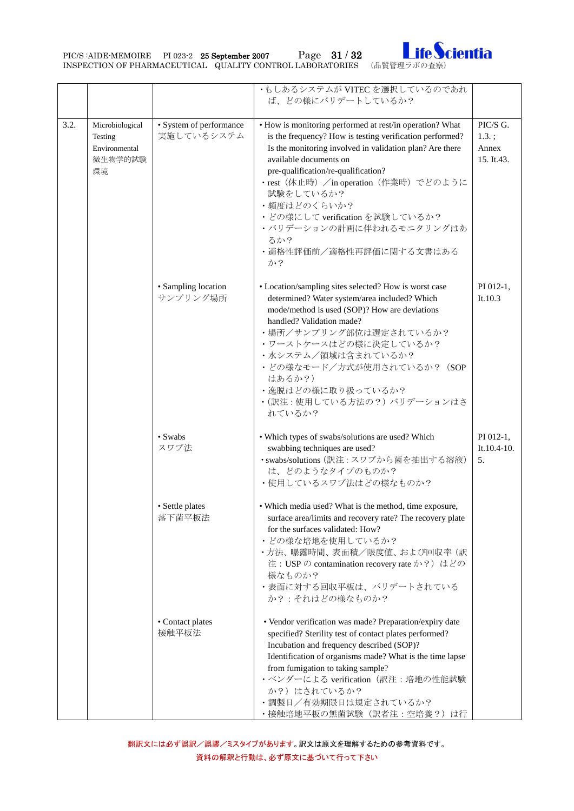PIC/S :AIDE-MEMOIRE PI 023-2 25 September 2007 Page 31 / 32 Ife Cientia



|      |                                                              |                                       | ・もしあるシステムが VITEC を選択しているのであれ<br>ば、どの様にバリデートしているか?                                                                                                                                                                                                                                                                                                                                                                              |                                             |
|------|--------------------------------------------------------------|---------------------------------------|--------------------------------------------------------------------------------------------------------------------------------------------------------------------------------------------------------------------------------------------------------------------------------------------------------------------------------------------------------------------------------------------------------------------------------|---------------------------------------------|
| 3.2. | Microbiological<br>Testing<br>Environmental<br>微生物学的試験<br>環境 | • System of performance<br>実施しているシステム | • How is monitoring performed at rest/in operation? What<br>is the frequency? How is testing verification performed?<br>Is the monitoring involved in validation plan? Are there<br>available documents on<br>pre-qualification/re-qualification?<br>・rest (休止時) / in operation (作業時) でどのように<br>試験をしているか?<br>・頻度はどのくらいか?<br>・どの様にして verification を試験しているか?<br>・バリデーションの計画に伴われるモニタリングはあ<br>るか?<br>・適格性評価前/適格性再評価に関する文書はある<br>か? | PIC/S G.<br>$1.3.$ ;<br>Annex<br>15. It.43. |
|      |                                                              | • Sampling location<br>サンプリング場所       | • Location/sampling sites selected? How is worst case<br>determined? Water system/area included? Which<br>mode/method is used (SOP)? How are deviations<br>handled? Validation made?<br>・場所/サンプリング部位は選定されているか?<br>•ワーストケースはどの様に決定しているか?<br>・水システム/領域は含まれているか?<br>・どの様なモード/方式が使用されているか? (SOP<br>はあるか?)<br>• 逸脱はどの様に取り扱っているか?<br>•(訳注:使用している方法の?)バリデーションはさ<br>れているか?                                                             | PI 012-1,<br>It.10.3                        |
|      |                                                              | $\bullet$ Swabs<br>スワブ法               | • Which types of swabs/solutions are used? Which<br>swabbing techniques are used?<br>·swabs/solutions (訳注:スワブから菌を抽出する溶液)<br>は、どのようなタイプのものか?<br>•使用しているスワブ法はどの様なものか?                                                                                                                                                                                                                                                            | PI 012-1,<br>It.10.4-10.<br>5.              |
|      |                                                              | • Settle plates<br>落下菌平板法             | • Which media used? What is the method, time exposure,<br>surface area/limits and recovery rate? The recovery plate<br>for the surfaces validated: How?<br>• どの様な培地を使用しているか?<br>•方法、曝露時間、表面積/限度値、および回収率 (訳<br>注: USP の contamination recovery rate か?) はどの<br>様なものか?<br>• 表面に対する回収平板は、バリデートされている<br>か?: それはどの様なものか?                                                                                                            |                                             |
|      |                                                              | • Contact plates<br>接触平板法             | • Vendor verification was made? Preparation/expiry date<br>specified? Sterility test of contact plates performed?<br>Incubation and frequency described (SOP)?<br>Identification of organisms made? What is the time lapse<br>from fumigation to taking sample?<br>·ベンダーによる verification (訳注:培地の性能試験<br>か?)はされているか?<br>•調製日/有効期限日は規定されているか?<br>・接触培地平板の無菌試験(訳者注:空培養?)は行                                                        |                                             |